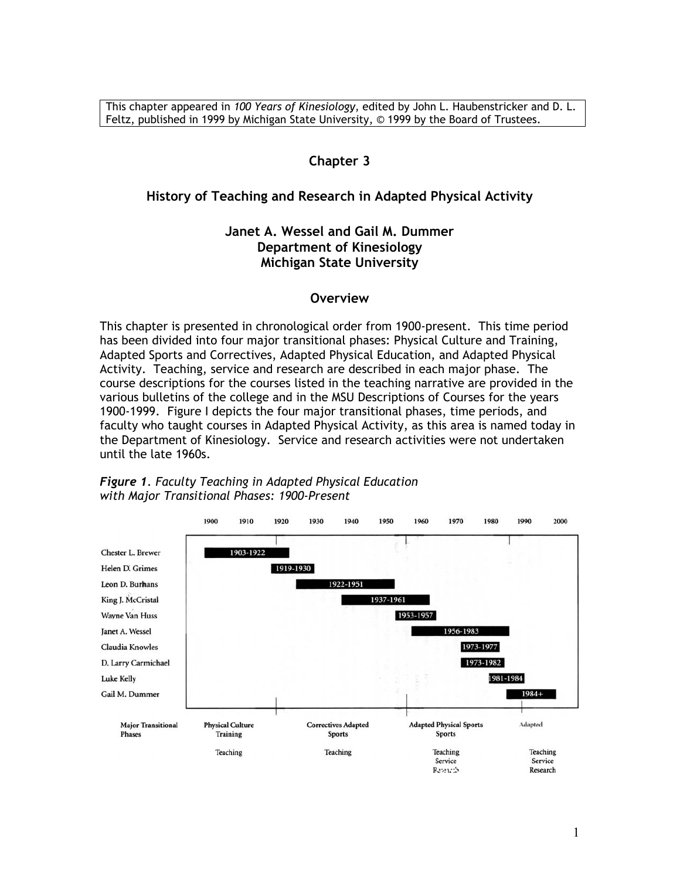This chapter appeared in *100 Years of Kinesiology*, edited by John L. Haubenstricker and D. L. Feltz, published in 1999 by Michigan State University, © 1999 by the Board of Trustees.

#### **Chapter 3**

#### **History of Teaching and Research in Adapted Physical Activity**

#### **Janet A. Wessel and Gail M. Dummer Department of Kinesiology Michigan State University**

#### **Overview**

This chapter is presented in chronological order from 1900-present. This time period has been divided into four major transitional phases: Physical Culture and Training, Adapted Sports and Correctives, Adapted Physical Education, and Adapted Physical Activity. Teaching, service and research are described in each major phase. The course descriptions for the courses listed in the teaching narrative are provided in the various bulletins of the college and in the MSU Descriptions of Courses for the years 1900-1999. Figure I depicts the four major transitional phases, time periods, and faculty who taught courses in Adapted Physical Activity, as this area is named today in the Department of Kinesiology. Service and research activities were not undertaken until the late 1960s.



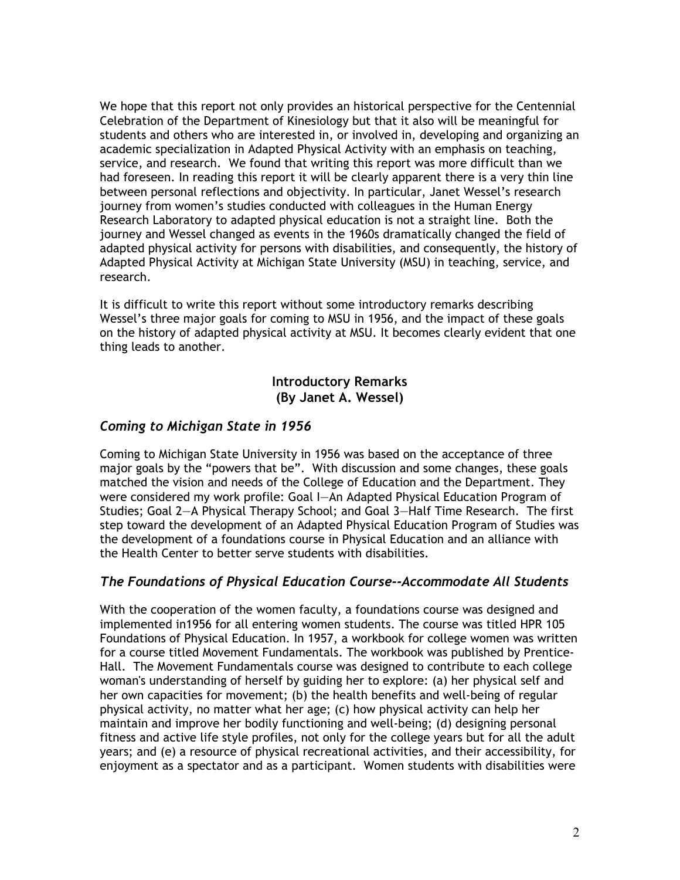We hope that this report not only provides an historical perspective for the Centennial Celebration of the Department of Kinesiology but that it also will be meaningful for students and others who are interested in, or involved in, developing and organizing an academic specialization in Adapted Physical Activity with an emphasis on teaching, service, and research. We found that writing this report was more difficult than we had foreseen. In reading this report it will be clearly apparent there is a very thin line between personal reflections and objectivity. In particular, Janet Wessel's research journey from women's studies conducted with colleagues in the Human Energy Research Laboratory to adapted physical education is not a straight line. Both the journey and Wessel changed as events in the 1960s dramatically changed the field of adapted physical activity for persons with disabilities, and consequently, the history of Adapted Physical Activity at Michigan State University (MSU) in teaching, service, and research.

It is difficult to write this report without some introductory remarks describing Wessel's three major goals for coming to MSU in 1956, and the impact of these goals on the history of adapted physical activity at MSU. It becomes clearly evident that one thing leads to another.

#### **Introductory Remarks (By Janet A. Wessel)**

# *Coming to Michigan State in 1956*

Coming to Michigan State University in 1956 was based on the acceptance of three major goals by the "powers that be". With discussion and some changes, these goals matched the vision and needs of the College of Education and the Department. They were considered my work profile: Goal I—An Adapted Physical Education Program of Studies; Goal 2—A Physical Therapy School; and Goal 3—Half Time Research. The first step toward the development of an Adapted Physical Education Program of Studies was the development of a foundations course in Physical Education and an alliance with the Health Center to better serve students with disabilities.

# *The Foundations of Physical Education Course--Accommodate All Students*

With the cooperation of the women faculty, a foundations course was designed and implemented in1956 for all entering women students. The course was titled HPR 105 Foundations of Physical Education. In 1957, a workbook for college women was written for a course titled Movement Fundamentals. The workbook was published by Prentice-Hall. The Movement Fundamentals course was designed to contribute to each college woman's understanding of herself by guiding her to explore: (a) her physical self and her own capacities for movement; (b) the health benefits and well-being of regular physical activity, no matter what her age; (c) how physical activity can help her maintain and improve her bodily functioning and well-being; (d) designing personal fitness and active life style profiles, not only for the college years but for all the adult years; and (e) a resource of physical recreational activities, and their accessibility, for enjoyment as a spectator and as a participant. Women students with disabilities were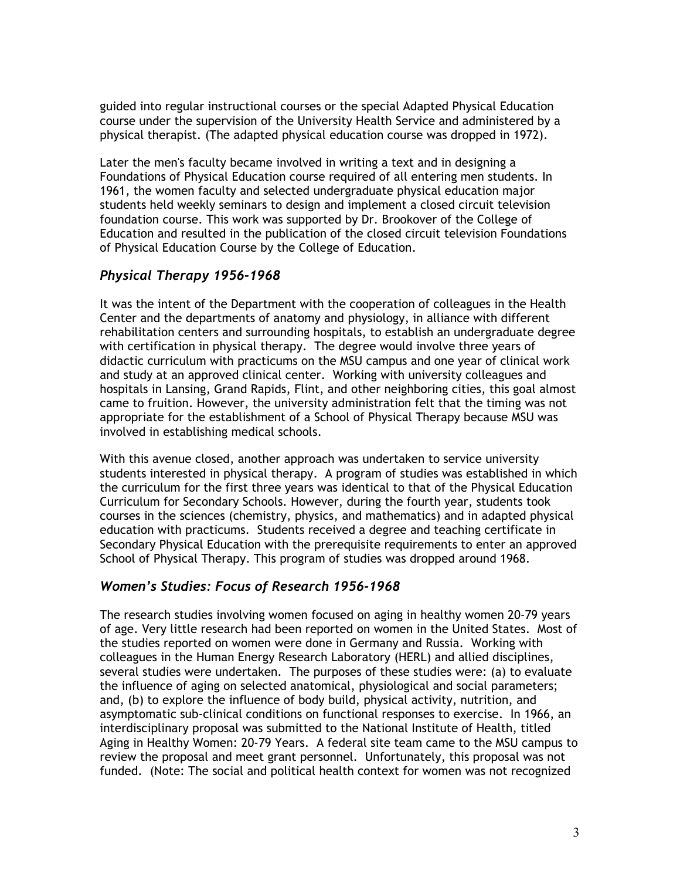guided into regular instructional courses or the special Adapted Physical Education course under the supervision of the University Health Service and administered by a physical therapist. (The adapted physical education course was dropped in 1972).

Later the men's faculty became involved in writing a text and in designing a Foundations of Physical Education course required of all entering men students. In 1961, the women faculty and selected undergraduate physical education major students held weekly seminars to design and implement a closed circuit television foundation course. This work was supported by Dr. Brookover of the College of Education and resulted in the publication of the closed circuit television Foundations of Physical Education Course by the College of Education.

# *Physical Therapy 1956-1968*

It was the intent of the Department with the cooperation of colleagues in the Health Center and the departments of anatomy and physiology, in alliance with different rehabilitation centers and surrounding hospitals, to establish an undergraduate degree with certification in physical therapy. The degree would involve three years of didactic curriculum with practicums on the MSU campus and one year of clinical work and study at an approved clinical center. Working with university colleagues and hospitals in Lansing, Grand Rapids, Flint, and other neighboring cities, this goal almost came to fruition. However, the university administration felt that the timing was not appropriate for the establishment of a School of Physical Therapy because MSU was involved in establishing medical schools.

With this avenue closed, another approach was undertaken to service university students interested in physical therapy. A program of studies was established in which the curriculum for the first three years was identical to that of the Physical Education Curriculum for Secondary Schools. However, during the fourth year, students took courses in the sciences (chemistry, physics, and mathematics) and in adapted physical education with practicums. Students received a degree and teaching certificate in Secondary Physical Education with the prerequisite requirements to enter an approved School of Physical Therapy. This program of studies was dropped around 1968.

# *Women's Studies: Focus of Research 1956-1968*

The research studies involving women focused on aging in healthy women 20-79 years of age. Very little research had been reported on women in the United States. Most of the studies reported on women were done in Germany and Russia. Working with colleagues in the Human Energy Research Laboratory (HERL) and allied disciplines, several studies were undertaken. The purposes of these studies were: (a) to evaluate the influence of aging on selected anatomical, physiological and social parameters; and, (b) to explore the influence of body build, physical activity, nutrition, and asymptomatic sub-clinical conditions on functional responses to exercise. In 1966, an interdisciplinary proposal was submitted to the National Institute of Health, titled Aging in Healthy Women: 20-79 Years. A federal site team came to the MSU campus to review the proposal and meet grant personnel. Unfortunately, this proposal was not funded. (Note: The social and political health context for women was not recognized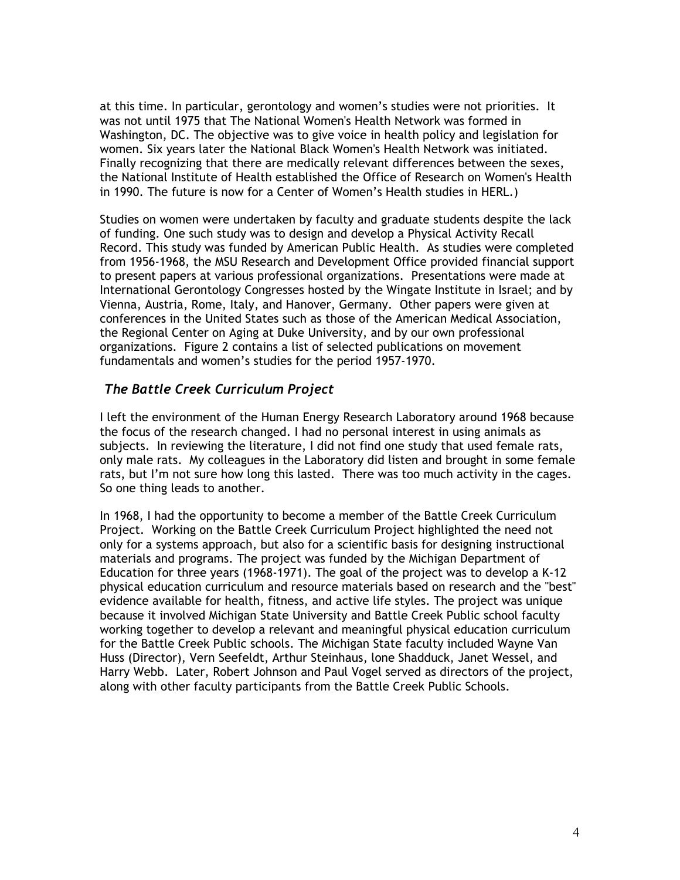at this time. In particular, gerontology and women's studies were not priorities. It was not until 1975 that The National Women's Health Network was formed in Washington, DC. The objective was to give voice in health policy and legislation for women. Six years later the National Black Women's Health Network was initiated. Finally recognizing that there are medically relevant differences between the sexes, the National Institute of Health established the Office of Research on Women's Health in 1990. The future is now for a Center of Women's Health studies in HERL.)

Studies on women were undertaken by faculty and graduate students despite the lack of funding. One such study was to design and develop a Physical Activity Recall Record. This study was funded by American Public Health. As studies were completed from 1956-1968, the MSU Research and Development Office provided financial support to present papers at various professional organizations. Presentations were made at International Gerontology Congresses hosted by the Wingate Institute in Israel; and by Vienna, Austria, Rome, Italy, and Hanover, Germany. Other papers were given at conferences in the United States such as those of the American Medical Association, the Regional Center on Aging at Duke University, and by our own professional organizations. Figure 2 contains a list of selected publications on movement fundamentals and women's studies for the period 1957-1970.

# *The Battle Creek Curriculum Project*

I left the environment of the Human Energy Research Laboratory around 1968 because the focus of the research changed. I had no personal interest in using animals as subjects. In reviewing the literature, I did not find one study that used female rats, only male rats. My colleagues in the Laboratory did listen and brought in some female rats, but I'm not sure how long this lasted. There was too much activity in the cages. So one thing leads to another.

In 1968, I had the opportunity to become a member of the Battle Creek Curriculum Project. Working on the Battle Creek Curriculum Project highlighted the need not only for a systems approach, but also for a scientific basis for designing instructional materials and programs. The project was funded by the Michigan Department of Education for three years (1968-1971). The goal of the project was to develop a K-12 physical education curriculum and resource materials based on research and the "best" evidence available for health, fitness, and active life styles. The project was unique because it involved Michigan State University and Battle Creek Public school faculty working together to develop a relevant and meaningful physical education curriculum for the Battle Creek Public schools. The Michigan State faculty included Wayne Van Huss (Director), Vern Seefeldt, Arthur Steinhaus, lone Shadduck, Janet Wessel, and Harry Webb. Later, Robert Johnson and Paul Vogel served as directors of the project, along with other faculty participants from the Battle Creek Public Schools.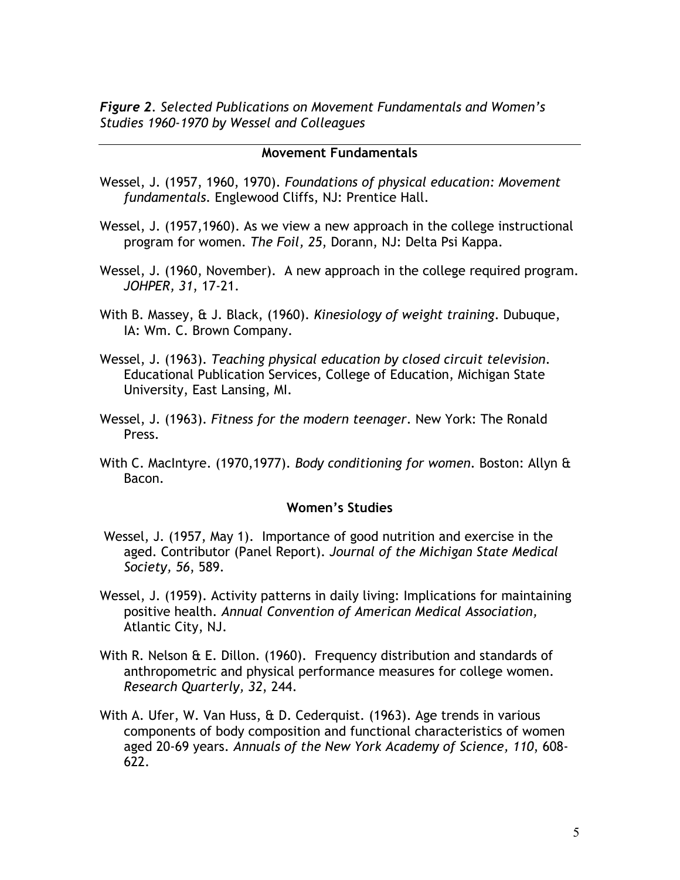*Figure 2. Selected Publications on Movement Fundamentals and Women's Studies 1960-1970 by Wessel and Colleagues* 

#### **Movement Fundamentals**

- Wessel, J. (1957, 1960, 1970). *Foundations of physical education: Movement fundamentals.* Englewood Cliffs, NJ: Prentice Hall.
- Wessel, J. (1957,1960). As we view a new approach in the college instructional program for women. *The Foil, 25*, Dorann, NJ: Delta Psi Kappa.
- Wessel, J. (1960, November). A new approach in the college required program. *JOHPER, 31*, 17-21.
- With B. Massey, & J. Black, (1960). *Kinesiology of weight training*. Dubuque, IA: Wm. C. Brown Company.
- Wessel, J. (1963). *Teaching physical education by closed circuit television*. Educational Publication Services, College of Education, Michigan State University, East Lansing, MI.
- Wessel, J. (1963). *Fitness for the modern teenager*. New York: The Ronald Press.
- With C. MacIntyre. (1970,1977). *Body conditioning for women*. Boston: Allyn & Bacon.

#### **Women's Studies**

- Wessel, J. (1957, May 1). Importance of good nutrition and exercise in the aged. Contributor (Panel Report). *Journal of the Michigan State Medical Society, 56*, 589.
- Wessel, J. (1959). Activity patterns in daily living: Implications for maintaining positive health. *Annual Convention of American Medical Association,* Atlantic City, NJ.
- With R. Nelson & E. Dillon. (1960). Frequency distribution and standards of anthropometric and physical performance measures for college women. *Research Quarterly, 32*, 244.
- With A. Ufer, W. Van Huss, & D. Cederquist. (1963). Age trends in various components of body composition and functional characteristics of women aged 20-69 years. *Annuals of the New York Academy of Science, 110*, 608- 622.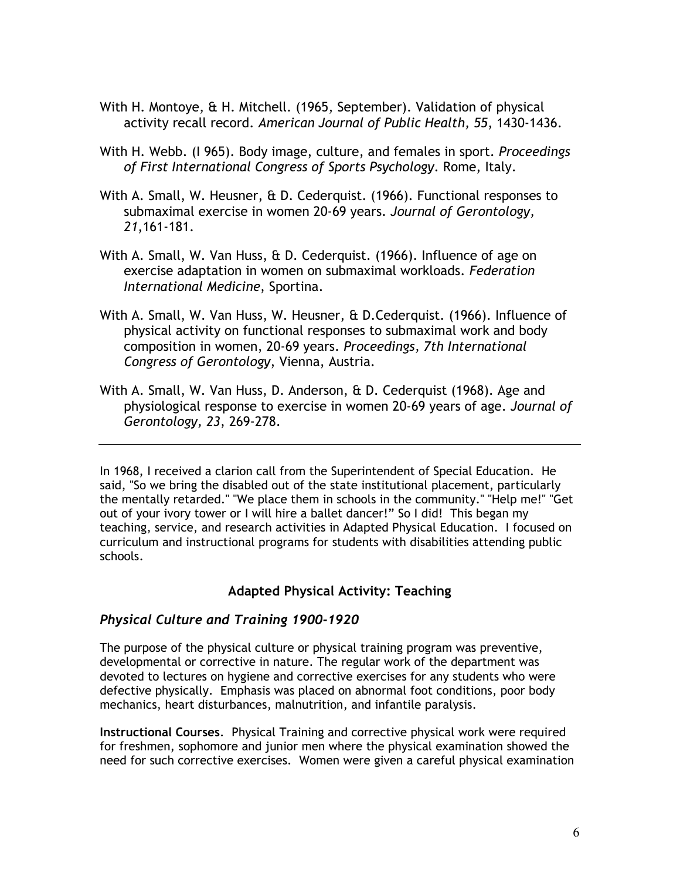- With H. Montoye, & H. Mitchell. (1965, September). Validation of physical activity recall record. *American Journal of Public Health, 55*, 1430-1436.
- With H. Webb. (I 965). Body image, culture, and females in sport. *Proceedings of First International Congress of Sports Psychology*. Rome, Italy.
- With A. Small, W. Heusner, & D. Cederquist. (1966). Functional responses to submaximal exercise in women 20-69 years. *Journal of Gerontology, 21*,161-181.
- With A. Small, W. Van Huss, & D. Cederquist. (1966). Influence of age on exercise adaptation in women on submaximal workloads. *Federation International Medicine*, Sportina.
- With A. Small, W. Van Huss, W. Heusner, & D.Cederquist. (1966). Influence of physical activity on functional responses to submaximal work and body composition in women, 20-69 years. *Proceedings, 7th International Congress of Gerontology*, Vienna, Austria.
- With A. Small, W. Van Huss, D. Anderson, & D. Cederquist (1968). Age and physiological response to exercise in women 20-69 years of age. *Journal of Gerontology, 23*, 269-278.

In 1968, I received a clarion call from the Superintendent of Special Education. He said, "So we bring the disabled out of the state institutional placement, particularly the mentally retarded." "We place them in schools in the community." "Help me!" "Get out of your ivory tower or I will hire a ballet dancer!" So I did! This began my teaching, service, and research activities in Adapted Physical Education. I focused on curriculum and instructional programs for students with disabilities attending public schools.

# **Adapted Physical Activity: Teaching**

# *Physical Culture and Training 1900-1920*

The purpose of the physical culture or physical training program was preventive, developmental or corrective in nature. The regular work of the department was devoted to lectures on hygiene and corrective exercises for any students who were defective physically. Emphasis was placed on abnormal foot conditions, poor body mechanics, heart disturbances, malnutrition, and infantile paralysis.

**Instructional Courses**. Physical Training and corrective physical work were required for freshmen, sophomore and junior men where the physical examination showed the need for such corrective exercises. Women were given a careful physical examination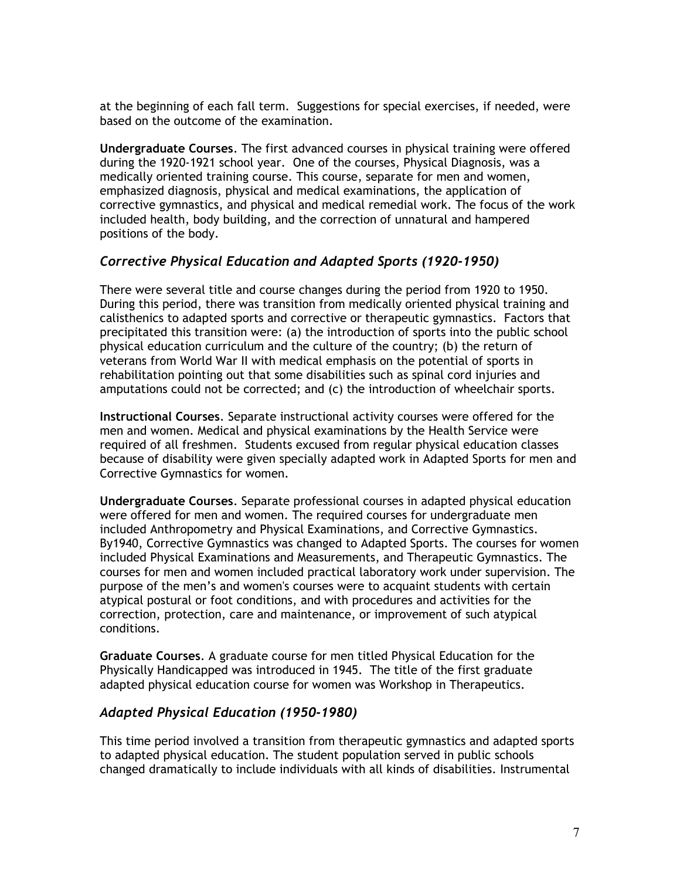at the beginning of each fall term. Suggestions for special exercises, if needed, were based on the outcome of the examination.

**Undergraduate Courses**. The first advanced courses in physical training were offered during the 1920-1921 school year. One of the courses, Physical Diagnosis, was a medically oriented training course. This course, separate for men and women, emphasized diagnosis, physical and medical examinations, the application of corrective gymnastics, and physical and medical remedial work. The focus of the work included health, body building, and the correction of unnatural and hampered positions of the body.

#### *Corrective Physical Education and Adapted Sports (1920-1950)*

There were several title and course changes during the period from 1920 to 1950. During this period, there was transition from medically oriented physical training and calisthenics to adapted sports and corrective or therapeutic gymnastics. Factors that precipitated this transition were: (a) the introduction of sports into the public school physical education curriculum and the culture of the country; (b) the return of veterans from World War II with medical emphasis on the potential of sports in rehabilitation pointing out that some disabilities such as spinal cord injuries and amputations could not be corrected; and (c) the introduction of wheelchair sports.

**Instructional Courses**. Separate instructional activity courses were offered for the men and women. Medical and physical examinations by the Health Service were required of all freshmen. Students excused from regular physical education classes because of disability were given specially adapted work in Adapted Sports for men and Corrective Gymnastics for women.

**Undergraduate Courses**. Separate professional courses in adapted physical education were offered for men and women. The required courses for undergraduate men included Anthropometry and Physical Examinations, and Corrective Gymnastics. By1940, Corrective Gymnastics was changed to Adapted Sports. The courses for women included Physical Examinations and Measurements, and Therapeutic Gymnastics. The courses for men and women included practical laboratory work under supervision. The purpose of the men's and women's courses were to acquaint students with certain atypical postural or foot conditions, and with procedures and activities for the correction, protection, care and maintenance, or improvement of such atypical conditions.

**Graduate Courses**. A graduate course for men titled Physical Education for the Physically Handicapped was introduced in 1945. The title of the first graduate adapted physical education course for women was Workshop in Therapeutics.

# *Adapted Physical Education (1950-1980)*

This time period involved a transition from therapeutic gymnastics and adapted sports to adapted physical education. The student population served in public schools changed dramatically to include individuals with all kinds of disabilities. Instrumental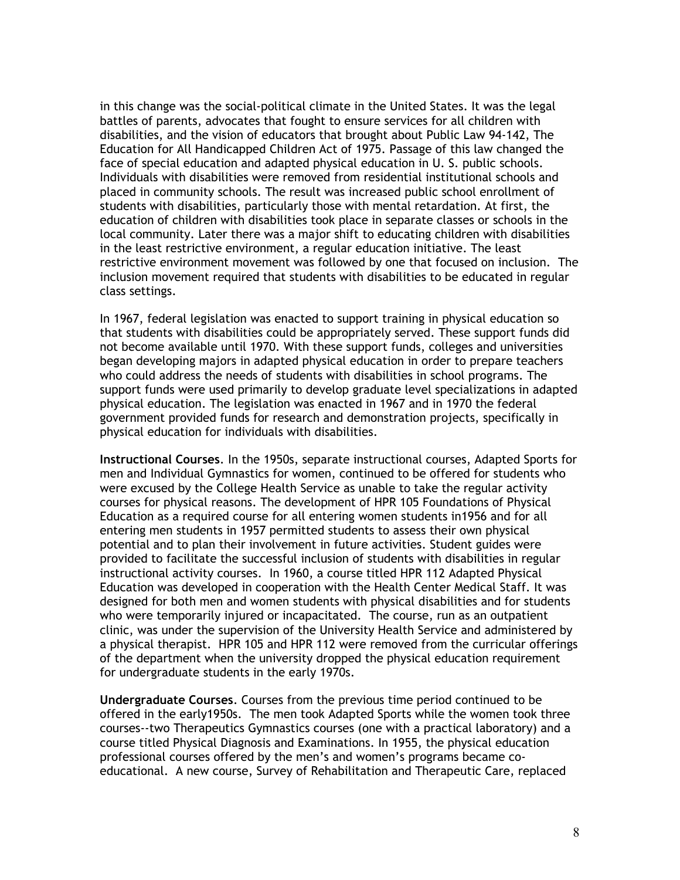in this change was the social-political climate in the United States. It was the legal battles of parents, advocates that fought to ensure services for all children with disabilities, and the vision of educators that brought about Public Law 94-142, The Education for All Handicapped Children Act of 1975. Passage of this law changed the face of special education and adapted physical education in U. S. public schools. Individuals with disabilities were removed from residential institutional schools and placed in community schools. The result was increased public school enrollment of students with disabilities, particularly those with mental retardation. At first, the education of children with disabilities took place in separate classes or schools in the local community. Later there was a major shift to educating children with disabilities in the least restrictive environment, a regular education initiative. The least restrictive environment movement was followed by one that focused on inclusion. The inclusion movement required that students with disabilities to be educated in regular class settings.

In 1967, federal legislation was enacted to support training in physical education so that students with disabilities could be appropriately served. These support funds did not become available until 1970. With these support funds, colleges and universities began developing majors in adapted physical education in order to prepare teachers who could address the needs of students with disabilities in school programs. The support funds were used primarily to develop graduate level specializations in adapted physical education. The legislation was enacted in 1967 and in 1970 the federal government provided funds for research and demonstration projects, specifically in physical education for individuals with disabilities.

**Instructional Courses**. In the 1950s, separate instructional courses, Adapted Sports for men and Individual Gymnastics for women, continued to be offered for students who were excused by the College Health Service as unable to take the regular activity courses for physical reasons. The development of HPR 105 Foundations of Physical Education as a required course for all entering women students in1956 and for all entering men students in 1957 permitted students to assess their own physical potential and to plan their involvement in future activities. Student guides were provided to facilitate the successful inclusion of students with disabilities in regular instructional activity courses. In 1960, a course titled HPR 112 Adapted Physical Education was developed in cooperation with the Health Center Medical Staff. It was designed for both men and women students with physical disabilities and for students who were temporarily injured or incapacitated. The course, run as an outpatient clinic, was under the supervision of the University Health Service and administered by a physical therapist. HPR 105 and HPR 112 were removed from the curricular offerings of the department when the university dropped the physical education requirement for undergraduate students in the early 1970s.

**Undergraduate Courses**. Courses from the previous time period continued to be offered in the early1950s. The men took Adapted Sports while the women took three courses--two Therapeutics Gymnastics courses (one with a practical laboratory) and a course titled Physical Diagnosis and Examinations. In 1955, the physical education professional courses offered by the men's and women's programs became coeducational. A new course, Survey of Rehabilitation and Therapeutic Care, replaced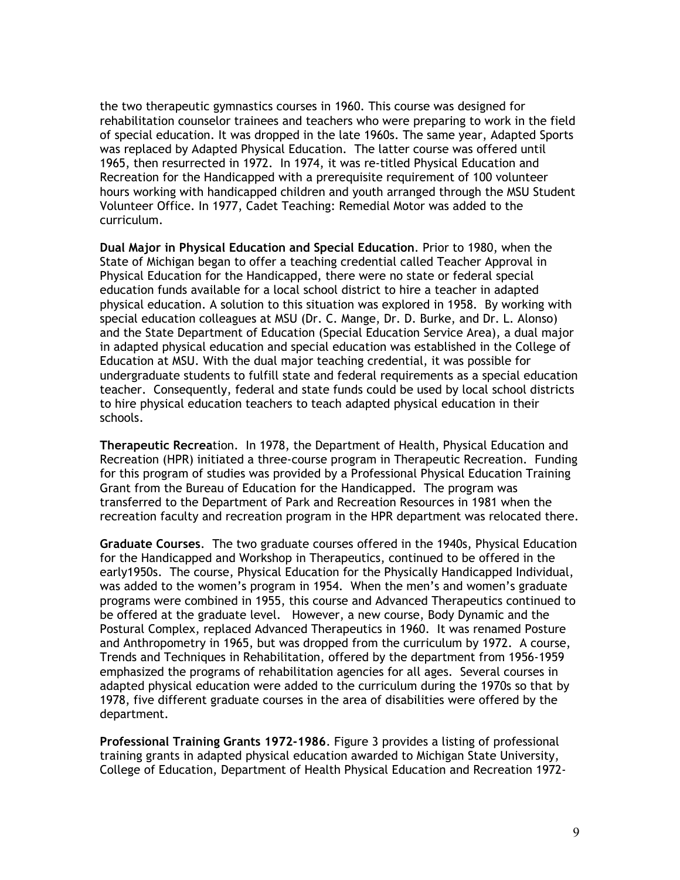the two therapeutic gymnastics courses in 1960. This course was designed for rehabilitation counselor trainees and teachers who were preparing to work in the field of special education. It was dropped in the late 1960s. The same year, Adapted Sports was replaced by Adapted Physical Education. The latter course was offered until 1965, then resurrected in 1972. In 1974, it was re-titled Physical Education and Recreation for the Handicapped with a prerequisite requirement of 100 volunteer hours working with handicapped children and youth arranged through the MSU Student Volunteer Office. In 1977, Cadet Teaching: Remedial Motor was added to the curriculum.

**Dual Major in Physical Education and Special Education**. Prior to 1980, when the State of Michigan began to offer a teaching credential called Teacher Approval in Physical Education for the Handicapped, there were no state or federal special education funds available for a local school district to hire a teacher in adapted physical education. A solution to this situation was explored in 1958. By working with special education colleagues at MSU (Dr. C. Mange, Dr. D. Burke, and Dr. L. Alonso) and the State Department of Education (Special Education Service Area), a dual major in adapted physical education and special education was established in the College of Education at MSU. With the dual major teaching credential, it was possible for undergraduate students to fulfill state and federal requirements as a special education teacher. Consequently, federal and state funds could be used by local school districts to hire physical education teachers to teach adapted physical education in their schools.

**Therapeutic Recrea**tion. In 1978, the Department of Health, Physical Education and Recreation (HPR) initiated a three-course program in Therapeutic Recreation. Funding for this program of studies was provided by a Professional Physical Education Training Grant from the Bureau of Education for the Handicapped. The program was transferred to the Department of Park and Recreation Resources in 1981 when the recreation faculty and recreation program in the HPR department was relocated there.

**Graduate Courses**. The two graduate courses offered in the 1940s, Physical Education for the Handicapped and Workshop in Therapeutics, continued to be offered in the early1950s. The course, Physical Education for the Physically Handicapped Individual, was added to the women's program in 1954. When the men's and women's graduate programs were combined in 1955, this course and Advanced Therapeutics continued to be offered at the graduate level. However, a new course, Body Dynamic and the Postural Complex, replaced Advanced Therapeutics in 1960. It was renamed Posture and Anthropometry in 1965, but was dropped from the curriculum by 1972. A course, Trends and Techniques in Rehabilitation, offered by the department from 1956-1959 emphasized the programs of rehabilitation agencies for all ages. Several courses in adapted physical education were added to the curriculum during the 1970s so that by 1978, five different graduate courses in the area of disabilities were offered by the department.

**Professional Training Grants 1972-1986**. Figure 3 provides a listing of professional training grants in adapted physical education awarded to Michigan State University, College of Education, Department of Health Physical Education and Recreation 1972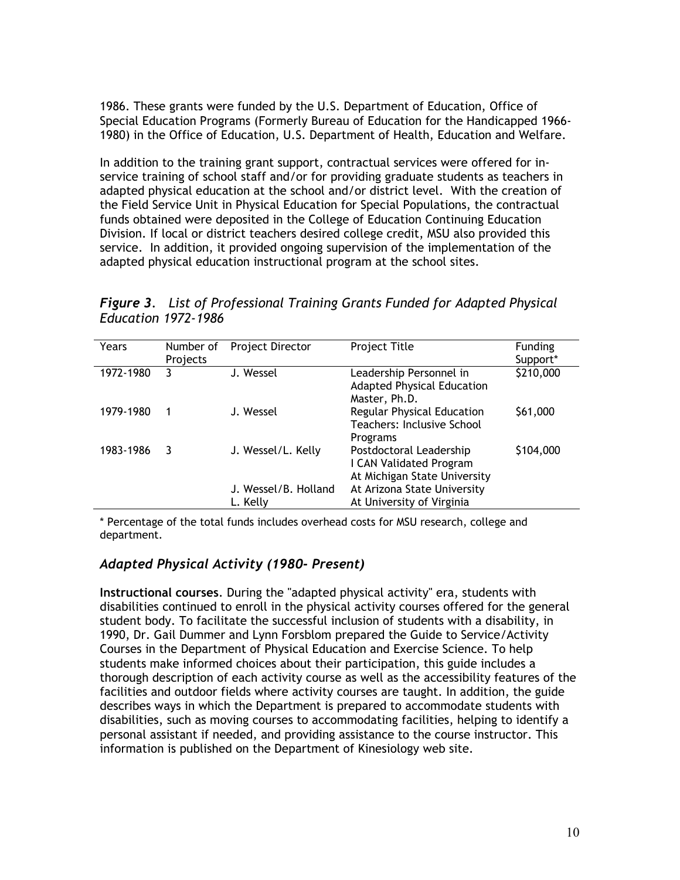1986. These grants were funded by the U.S. Department of Education, Office of Special Education Programs (Formerly Bureau of Education for the Handicapped 1966- 1980) in the Office of Education, U.S. Department of Health, Education and Welfare.

In addition to the training grant support, contractual services were offered for inservice training of school staff and/or for providing graduate students as teachers in adapted physical education at the school and/or district level. With the creation of the Field Service Unit in Physical Education for Special Populations, the contractual funds obtained were deposited in the College of Education Continuing Education Division. If local or district teachers desired college credit, MSU also provided this service. In addition, it provided ongoing supervision of the implementation of the adapted physical education instructional program at the school sites.

*Figure 3. List of Professional Training Grants Funded for Adapted Physical Education 1972-1986* 

| Years     | Number of<br>Projects | Project Director                 | Project Title                                                                      | <b>Funding</b><br>Support* |
|-----------|-----------------------|----------------------------------|------------------------------------------------------------------------------------|----------------------------|
| 1972-1980 | 3                     | J. Wessel                        | Leadership Personnel in<br><b>Adapted Physical Education</b><br>Master, Ph.D.      | \$210,000                  |
| 1979-1980 |                       | J. Wessel                        | <b>Regular Physical Education</b><br><b>Teachers: Inclusive School</b><br>Programs | \$61,000                   |
| 1983-1986 | 3                     | J. Wessel/L. Kelly               | Postdoctoral Leadership<br>I CAN Validated Program<br>At Michigan State University | \$104,000                  |
|           |                       | J. Wessel/B. Holland<br>L. Kelly | At Arizona State University<br>At University of Virginia                           |                            |

\* Percentage of the total funds includes overhead costs for MSU research, college and department.

# *Adapted Physical Activity (1980- Present)*

**Instructional courses**. During the "adapted physical activity" era, students with disabilities continued to enroll in the physical activity courses offered for the general student body. To facilitate the successful inclusion of students with a disability, in 1990, Dr. Gail Dummer and Lynn Forsblom prepared the Guide to Service/Activity Courses in the Department of Physical Education and Exercise Science. To help students make informed choices about their participation, this guide includes a thorough description of each activity course as well as the accessibility features of the facilities and outdoor fields where activity courses are taught. In addition, the guide describes ways in which the Department is prepared to accommodate students with disabilities, such as moving courses to accommodating facilities, helping to identify a personal assistant if needed, and providing assistance to the course instructor. This information is published on the Department of Kinesiology web site.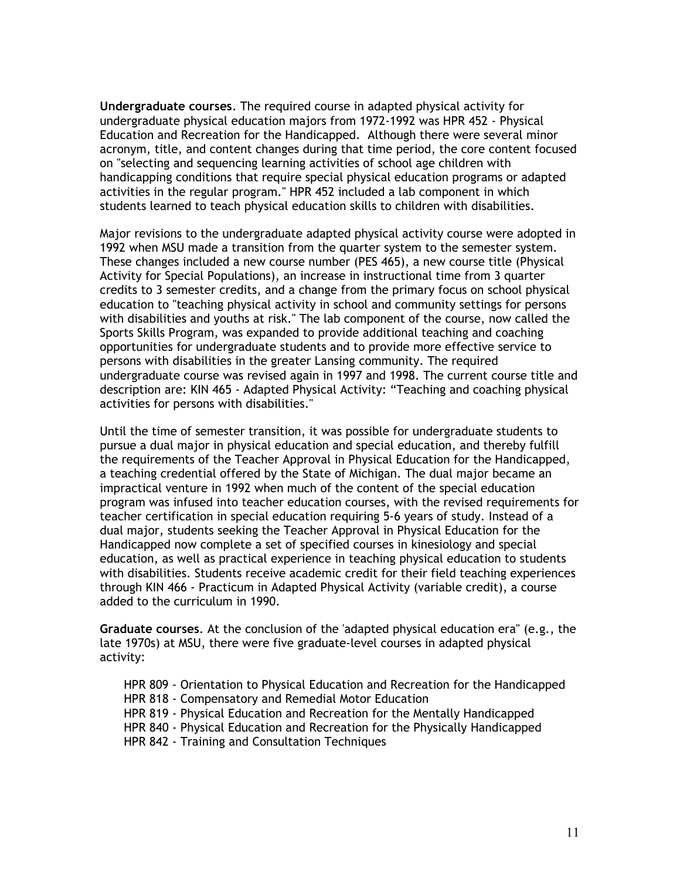**Undergraduate courses**. The required course in adapted physical activity for undergraduate physical education majors from 1972-1992 was HPR 452 - Physical Education and Recreation for the Handicapped. Although there were several minor acronym, title, and content changes during that time period, the core content focused on "selecting and sequencing learning activities of school age children with handicapping conditions that require special physical education programs or adapted activities in the regular program." HPR 452 included a lab component in which students learned to teach physical education skills to children with disabilities.

Major revisions to the undergraduate adapted physical activity course were adopted in 1992 when MSU made a transition from the quarter system to the semester system. These changes included a new course number (PES 465), a new course title (Physical Activity for Special Populations), an increase in instructional time from 3 quarter credits to 3 semester credits, and a change from the primary focus on school physical education to "teaching physical activity in school and community settings for persons with disabilities and youths at risk." The lab component of the course, now called the Sports Skills Program, was expanded to provide additional teaching and coaching opportunities for undergraduate students and to provide more effective service to persons with disabilities in the greater Lansing community. The required undergraduate course was revised again in 1997 and 1998. The current course title and description are: KIN 465 - Adapted Physical Activity: "Teaching and coaching physical activities for persons with disabilities."

Until the time of semester transition, it was possible for undergraduate students to pursue a dual major in physical education and special education, and thereby fulfill the requirements of the Teacher Approval in Physical Education for the Handicapped, a teaching credential offered by the State of Michigan. The dual major became an impractical venture in 1992 when much of the content of the special education program was infused into teacher education courses, with the revised requirements for teacher certification in special education requiring 5-6 years of study. Instead of a dual major, students seeking the Teacher Approval in Physical Education for the Handicapped now complete a set of specified courses in kinesiology and special education, as well as practical experience in teaching physical education to students with disabilities. Students receive academic credit for their field teaching experiences through KIN 466 - Practicum in Adapted Physical Activity (variable credit), a course added to the curriculum in 1990.

**Graduate courses**. At the conclusion of the 'adapted physical education era" (e.g., the late 1970s) at MSU, there were five graduate-level courses in adapted physical activity:

HPR 809 - Orientation to Physical Education and Recreation for the Handicapped HPR 818 - Compensatory and Remedial Motor Education HPR 819 - Physical Education and Recreation for the Mentally Handicapped HPR 840 - Physical Education and Recreation for the Physically Handicapped HPR 842 - Training and Consultation Techniques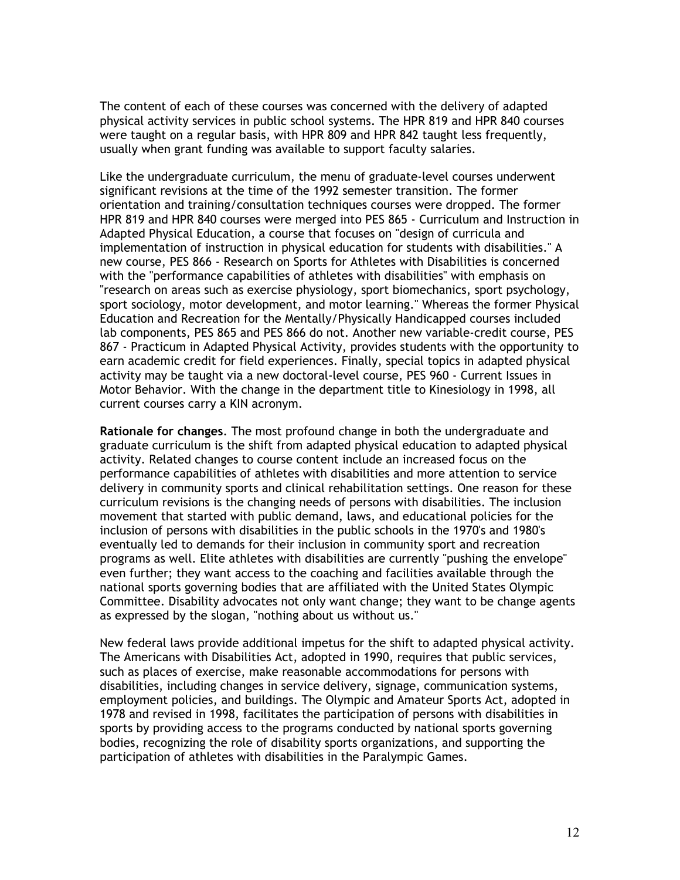The content of each of these courses was concerned with the delivery of adapted physical activity services in public school systems. The HPR 819 and HPR 840 courses were taught on a regular basis, with HPR 809 and HPR 842 taught less frequently, usually when grant funding was available to support faculty salaries.

Like the undergraduate curriculum, the menu of graduate-level courses underwent significant revisions at the time of the 1992 semester transition. The former orientation and training/consultation techniques courses were dropped. The former HPR 819 and HPR 840 courses were merged into PES 865 - Curriculum and Instruction in Adapted Physical Education, a course that focuses on "design of curricula and implementation of instruction in physical education for students with disabilities." A new course, PES 866 - Research on Sports for Athletes with Disabilities is concerned with the "performance capabilities of athletes with disabilities" with emphasis on "research on areas such as exercise physiology, sport biomechanics, sport psychology, sport sociology, motor development, and motor learning." Whereas the former Physical Education and Recreation for the Mentally/Physically Handicapped courses included lab components, PES 865 and PES 866 do not. Another new variable-credit course, PES 867 - Practicum in Adapted Physical Activity, provides students with the opportunity to earn academic credit for field experiences. Finally, special topics in adapted physical activity may be taught via a new doctoral-level course, PES 960 - Current Issues in Motor Behavior. With the change in the department title to Kinesiology in 1998, all current courses carry a KIN acronym.

**Rationale for changes**. The most profound change in both the undergraduate and graduate curriculum is the shift from adapted physical education to adapted physical activity. Related changes to course content include an increased focus on the performance capabilities of athletes with disabilities and more attention to service delivery in community sports and clinical rehabilitation settings. One reason for these curriculum revisions is the changing needs of persons with disabilities. The inclusion movement that started with public demand, laws, and educational policies for the inclusion of persons with disabilities in the public schools in the 1970's and 1980's eventually led to demands for their inclusion in community sport and recreation programs as well. Elite athletes with disabilities are currently "pushing the envelope" even further; they want access to the coaching and facilities available through the national sports governing bodies that are affiliated with the United States Olympic Committee. Disability advocates not only want change; they want to be change agents as expressed by the slogan, "nothing about us without us."

New federal laws provide additional impetus for the shift to adapted physical activity. The Americans with Disabilities Act, adopted in 1990, requires that public services, such as places of exercise, make reasonable accommodations for persons with disabilities, including changes in service delivery, signage, communication systems, employment policies, and buildings. The Olympic and Amateur Sports Act, adopted in 1978 and revised in 1998, facilitates the participation of persons with disabilities in sports by providing access to the programs conducted by national sports governing bodies, recognizing the role of disability sports organizations, and supporting the participation of athletes with disabilities in the Paralympic Games.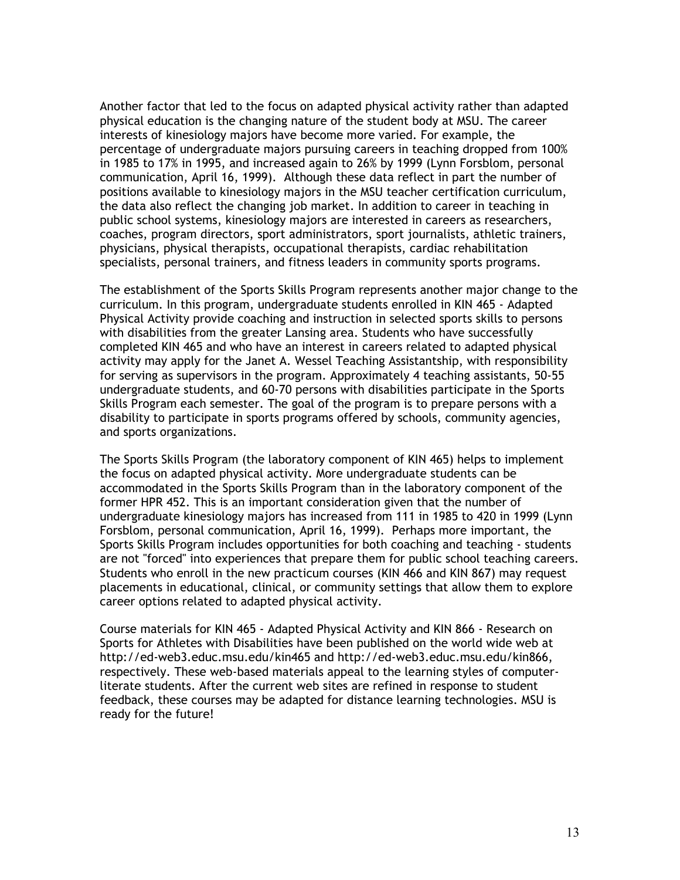Another factor that led to the focus on adapted physical activity rather than adapted physical education is the changing nature of the student body at MSU. The career interests of kinesiology majors have become more varied. For example, the percentage of undergraduate majors pursuing careers in teaching dropped from 100% in 1985 to 17% in 1995, and increased again to 26% by 1999 (Lynn Forsblom, personal communication, April 16, 1999). Although these data reflect in part the number of positions available to kinesiology majors in the MSU teacher certification curriculum, the data also reflect the changing job market. In addition to career in teaching in public school systems, kinesiology majors are interested in careers as researchers, coaches, program directors, sport administrators, sport journalists, athletic trainers, physicians, physical therapists, occupational therapists, cardiac rehabilitation specialists, personal trainers, and fitness leaders in community sports programs.

The establishment of the Sports Skills Program represents another major change to the curriculum. In this program, undergraduate students enrolled in KIN 465 - Adapted Physical Activity provide coaching and instruction in selected sports skills to persons with disabilities from the greater Lansing area. Students who have successfully completed KIN 465 and who have an interest in careers related to adapted physical activity may apply for the Janet A. Wessel Teaching Assistantship, with responsibility for serving as supervisors in the program. Approximately 4 teaching assistants, 50-55 undergraduate students, and 60-70 persons with disabilities participate in the Sports Skills Program each semester. The goal of the program is to prepare persons with a disability to participate in sports programs offered by schools, community agencies, and sports organizations.

The Sports Skills Program (the laboratory component of KIN 465) helps to implement the focus on adapted physical activity. More undergraduate students can be accommodated in the Sports Skills Program than in the laboratory component of the former HPR 452. This is an important consideration given that the number of undergraduate kinesiology majors has increased from 111 in 1985 to 420 in 1999 (Lynn Forsblom, personal communication, April 16, 1999). Perhaps more important, the Sports Skills Program includes opportunities for both coaching and teaching - students are not "forced" into experiences that prepare them for public school teaching careers. Students who enroll in the new practicum courses (KIN 466 and KIN 867) may request placements in educational, clinical, or community settings that allow them to explore career options related to adapted physical activity.

Course materials for KIN 465 - Adapted Physical Activity and KIN 866 - Research on Sports for Athletes with Disabilities have been published on the world wide web at http://ed-web3.educ.msu.edu/kin465 and http://ed-web3.educ.msu.edu/kin866, respectively. These web-based materials appeal to the learning styles of computerliterate students. After the current web sites are refined in response to student feedback, these courses may be adapted for distance learning technologies. MSU is ready for the future!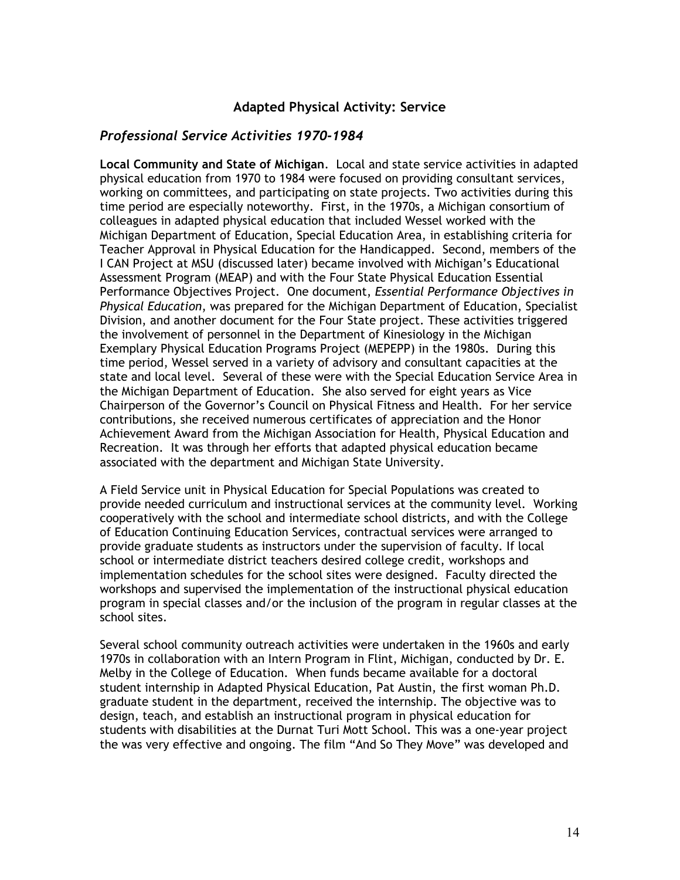#### **Adapted Physical Activity: Service**

#### *Professional Service Activities 1970-1984*

**Local Community and State of Michigan**. Local and state service activities in adapted physical education from 1970 to 1984 were focused on providing consultant services, working on committees, and participating on state projects. Two activities during this time period are especially noteworthy. First, in the 1970s, a Michigan consortium of colleagues in adapted physical education that included Wessel worked with the Michigan Department of Education, Special Education Area, in establishing criteria for Teacher Approval in Physical Education for the Handicapped. Second, members of the I CAN Project at MSU (discussed later) became involved with Michigan's Educational Assessment Program (MEAP) and with the Four State Physical Education Essential Performance Objectives Project. One document, *Essential Performance Objectives in Physical Education*, was prepared for the Michigan Department of Education, Specialist Division, and another document for the Four State project. These activities triggered the involvement of personnel in the Department of Kinesiology in the Michigan Exemplary Physical Education Programs Project (MEPEPP) in the 1980s. During this time period, Wessel served in a variety of advisory and consultant capacities at the state and local level. Several of these were with the Special Education Service Area in the Michigan Department of Education. She also served for eight years as Vice Chairperson of the Governor's Council on Physical Fitness and Health. For her service contributions, she received numerous certificates of appreciation and the Honor Achievement Award from the Michigan Association for Health, Physical Education and Recreation. It was through her efforts that adapted physical education became associated with the department and Michigan State University.

A Field Service unit in Physical Education for Special Populations was created to provide needed curriculum and instructional services at the community level. Working cooperatively with the school and intermediate school districts, and with the College of Education Continuing Education Services, contractual services were arranged to provide graduate students as instructors under the supervision of faculty. If local school or intermediate district teachers desired college credit, workshops and implementation schedules for the school sites were designed. Faculty directed the workshops and supervised the implementation of the instructional physical education program in special classes and/or the inclusion of the program in regular classes at the school sites.

Several school community outreach activities were undertaken in the 1960s and early 1970s in collaboration with an Intern Program in Flint, Michigan, conducted by Dr. E. Melby in the College of Education. When funds became available for a doctoral student internship in Adapted Physical Education, Pat Austin, the first woman Ph.D. graduate student in the department, received the internship. The objective was to design, teach, and establish an instructional program in physical education for students with disabilities at the Durnat Turi Mott School. This was a one-year project the was very effective and ongoing. The film "And So They Move" was developed and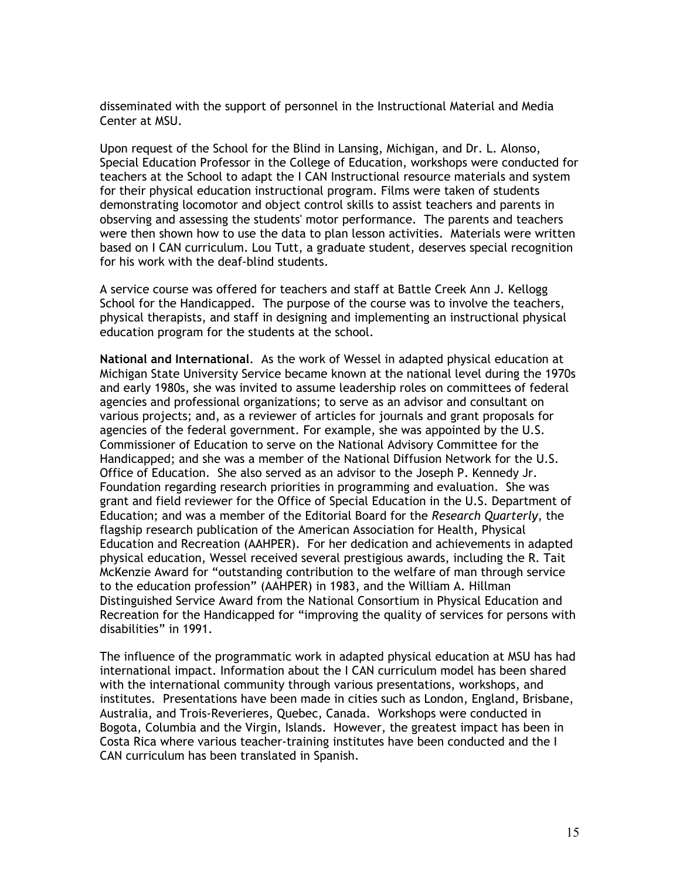disseminated with the support of personnel in the Instructional Material and Media Center at MSU.

Upon request of the School for the Blind in Lansing, Michigan, and Dr. L. Alonso, Special Education Professor in the College of Education, workshops were conducted for teachers at the School to adapt the I CAN Instructional resource materials and system for their physical education instructional program. Films were taken of students demonstrating locomotor and object control skills to assist teachers and parents in observing and assessing the students' motor performance. The parents and teachers were then shown how to use the data to plan lesson activities. Materials were written based on I CAN curriculum. Lou Tutt, a graduate student, deserves special recognition for his work with the deaf-blind students.

A service course was offered for teachers and staff at Battle Creek Ann J. Kellogg School for the Handicapped. The purpose of the course was to involve the teachers, physical therapists, and staff in designing and implementing an instructional physical education program for the students at the school.

**National and International**. As the work of Wessel in adapted physical education at Michigan State University Service became known at the national level during the 1970s and early 1980s, she was invited to assume leadership roles on committees of federal agencies and professional organizations; to serve as an advisor and consultant on various projects; and, as a reviewer of articles for journals and grant proposals for agencies of the federal government. For example, she was appointed by the U.S. Commissioner of Education to serve on the National Advisory Committee for the Handicapped; and she was a member of the National Diffusion Network for the U.S. Office of Education. She also served as an advisor to the Joseph P. Kennedy Jr. Foundation regarding research priorities in programming and evaluation. She was grant and field reviewer for the Office of Special Education in the U.S. Department of Education; and was a member of the Editorial Board for the *Research Quarterly*, the flagship research publication of the American Association for Health, Physical Education and Recreation (AAHPER). For her dedication and achievements in adapted physical education, Wessel received several prestigious awards, including the R. Tait McKenzie Award for "outstanding contribution to the welfare of man through service to the education profession" (AAHPER) in 1983, and the William A. Hillman Distinguished Service Award from the National Consortium in Physical Education and Recreation for the Handicapped for "improving the quality of services for persons with disabilities" in 1991.

The influence of the programmatic work in adapted physical education at MSU has had international impact. Information about the I CAN curriculum model has been shared with the international community through various presentations, workshops, and institutes. Presentations have been made in cities such as London, England, Brisbane, Australia, and Trois-Reverieres, Quebec, Canada. Workshops were conducted in Bogota, Columbia and the Virgin, Islands. However, the greatest impact has been in Costa Rica where various teacher-training institutes have been conducted and the I CAN curriculum has been translated in Spanish.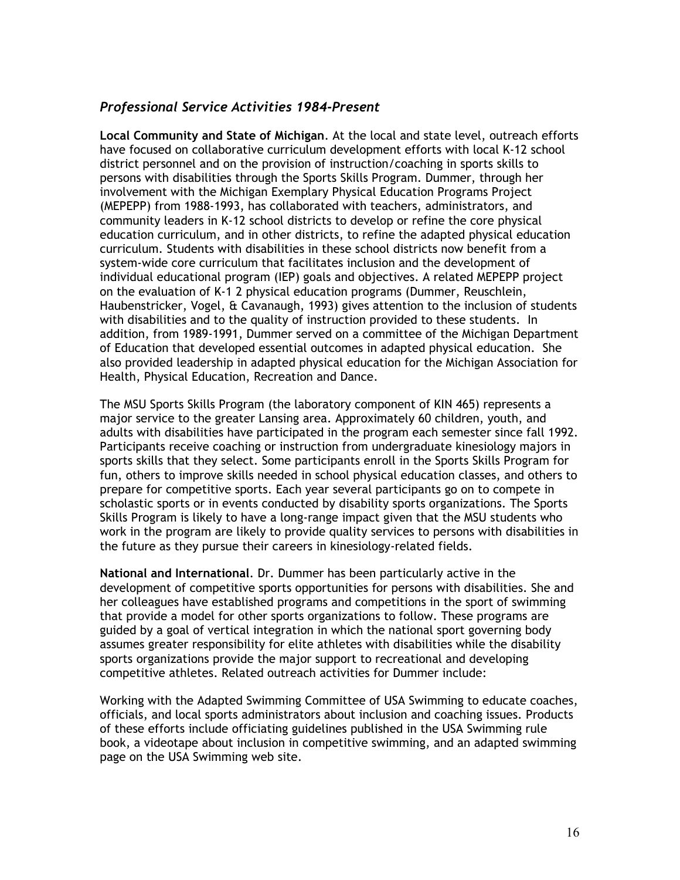#### *Professional Service Activities 1984-Present*

**Local Community and State of Michigan**. At the local and state level, outreach efforts have focused on collaborative curriculum development efforts with local K-12 school district personnel and on the provision of instruction/coaching in sports skills to persons with disabilities through the Sports Skills Program. Dummer, through her involvement with the Michigan Exemplary Physical Education Programs Project (MEPEPP) from 1988-1993, has collaborated with teachers, administrators, and community leaders in K-12 school districts to develop or refine the core physical education curriculum, and in other districts, to refine the adapted physical education curriculum. Students with disabilities in these school districts now benefit from a system-wide core curriculum that facilitates inclusion and the development of individual educational program (IEP) goals and objectives. A related MEPEPP project on the evaluation of K-1 2 physical education programs (Dummer, Reuschlein, Haubenstricker, Vogel, & Cavanaugh, 1993) gives attention to the inclusion of students with disabilities and to the quality of instruction provided to these students. In addition, from 1989-1991, Dummer served on a committee of the Michigan Department of Education that developed essential outcomes in adapted physical education. She also provided leadership in adapted physical education for the Michigan Association for Health, Physical Education, Recreation and Dance.

The MSU Sports Skills Program (the laboratory component of KIN 465) represents a major service to the greater Lansing area. Approximately 60 children, youth, and adults with disabilities have participated in the program each semester since fall 1992. Participants receive coaching or instruction from undergraduate kinesiology majors in sports skills that they select. Some participants enroll in the Sports Skills Program for fun, others to improve skills needed in school physical education classes, and others to prepare for competitive sports. Each year several participants go on to compete in scholastic sports or in events conducted by disability sports organizations. The Sports Skills Program is likely to have a long-range impact given that the MSU students who work in the program are likely to provide quality services to persons with disabilities in the future as they pursue their careers in kinesiology-related fields.

**National and International**. Dr. Dummer has been particularly active in the development of competitive sports opportunities for persons with disabilities. She and her colleagues have established programs and competitions in the sport of swimming that provide a model for other sports organizations to follow. These programs are guided by a goal of vertical integration in which the national sport governing body assumes greater responsibility for elite athletes with disabilities while the disability sports organizations provide the major support to recreational and developing competitive athletes. Related outreach activities for Dummer include:

Working with the Adapted Swimming Committee of USA Swimming to educate coaches, officials, and local sports administrators about inclusion and coaching issues. Products of these efforts include officiating guidelines published in the USA Swimming rule book, a videotape about inclusion in competitive swimming, and an adapted swimming page on the USA Swimming web site.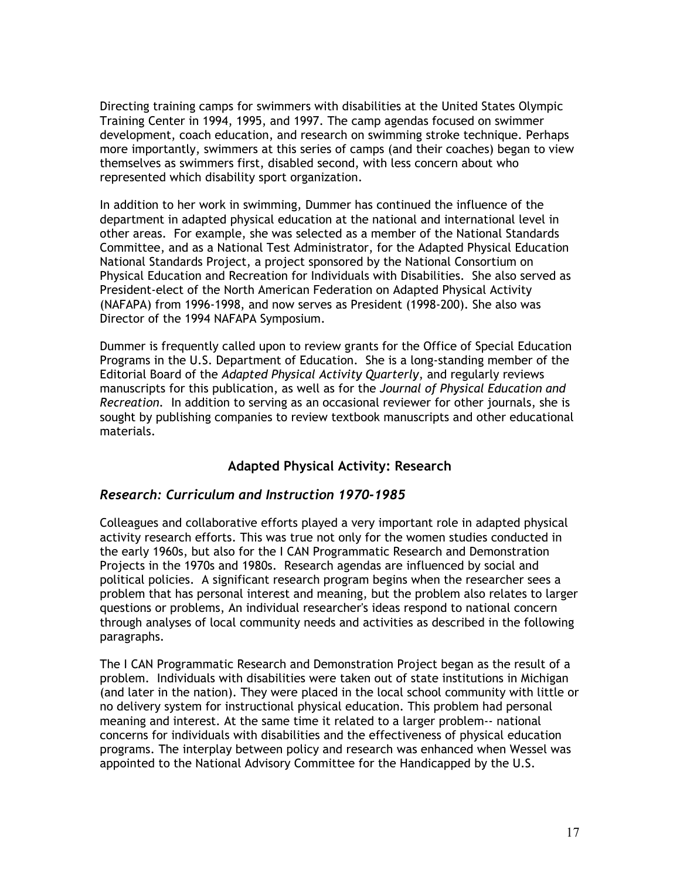Directing training camps for swimmers with disabilities at the United States Olympic Training Center in 1994, 1995, and 1997. The camp agendas focused on swimmer development, coach education, and research on swimming stroke technique. Perhaps more importantly, swimmers at this series of camps (and their coaches) began to view themselves as swimmers first, disabled second, with less concern about who represented which disability sport organization.

In addition to her work in swimming, Dummer has continued the influence of the department in adapted physical education at the national and international level in other areas. For example, she was selected as a member of the National Standards Committee, and as a National Test Administrator, for the Adapted Physical Education National Standards Project, a project sponsored by the National Consortium on Physical Education and Recreation for Individuals with Disabilities. She also served as President-elect of the North American Federation on Adapted Physical Activity (NAFAPA) from 1996-1998, and now serves as President (1998-200). She also was Director of the 1994 NAFAPA Symposium.

Dummer is frequently called upon to review grants for the Office of Special Education Programs in the U.S. Department of Education. She is a long-standing member of the Editorial Board of the *Adapted Physical Activity Quarterly*, and regularly reviews manuscripts for this publication, as well as for the *Journal of Physical Education and Recreation.* In addition to serving as an occasional reviewer for other journals, she is sought by publishing companies to review textbook manuscripts and other educational materials.

# **Adapted Physical Activity: Research**

# *Research: Curriculum and Instruction 1970-1985*

Colleagues and collaborative efforts played a very important role in adapted physical activity research efforts. This was true not only for the women studies conducted in the early 1960s, but also for the I CAN Programmatic Research and Demonstration Projects in the 1970s and 1980s. Research agendas are influenced by social and political policies. A significant research program begins when the researcher sees a problem that has personal interest and meaning, but the problem also relates to larger questions or problems, An individual researcher's ideas respond to national concern through analyses of local community needs and activities as described in the following paragraphs.

The I CAN Programmatic Research and Demonstration Project began as the result of a problem. Individuals with disabilities were taken out of state institutions in Michigan (and later in the nation). They were placed in the local school community with little or no delivery system for instructional physical education. This problem had personal meaning and interest. At the same time it related to a larger problem-- national concerns for individuals with disabilities and the effectiveness of physical education programs. The interplay between policy and research was enhanced when Wessel was appointed to the National Advisory Committee for the Handicapped by the U.S.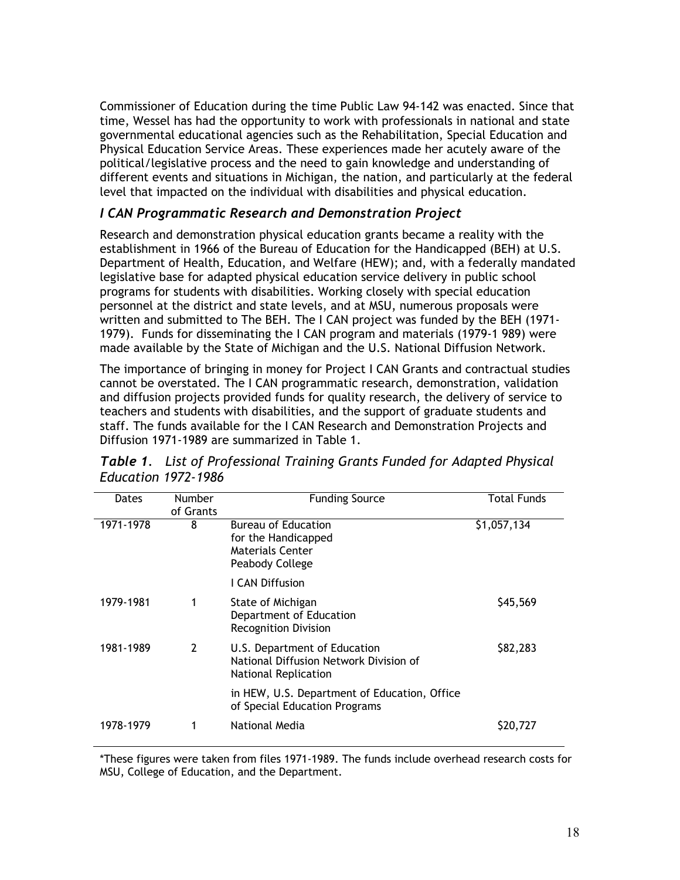Commissioner of Education during the time Public Law 94-142 was enacted. Since that time, Wessel has had the opportunity to work with professionals in national and state governmental educational agencies such as the Rehabilitation, Special Education and Physical Education Service Areas. These experiences made her acutely aware of the political/legislative process and the need to gain knowledge and understanding of different events and situations in Michigan, the nation, and particularly at the federal level that impacted on the individual with disabilities and physical education.

#### *I CAN Programmatic Research and Demonstration Project*

Research and demonstration physical education grants became a reality with the establishment in 1966 of the Bureau of Education for the Handicapped (BEH) at U.S. Department of Health, Education, and Welfare (HEW); and, with a federally mandated legislative base for adapted physical education service delivery in public school programs for students with disabilities. Working closely with special education personnel at the district and state levels, and at MSU, numerous proposals were written and submitted to The BEH. The I CAN project was funded by the BEH (1971- 1979). Funds for disseminating the I CAN program and materials (1979-1 989) were made available by the State of Michigan and the U.S. National Diffusion Network.

The importance of bringing in money for Project I CAN Grants and contractual studies cannot be overstated. The I CAN programmatic research, demonstration, validation and diffusion projects provided funds for quality research, the delivery of service to teachers and students with disabilities, and the support of graduate students and staff. The funds available for the I CAN Research and Demonstration Projects and Diffusion 1971-1989 are summarized in Table 1.

| Dates     | Number<br>of Grants | <b>Funding Source</b>                                                                                 | <b>Total Funds</b> |
|-----------|---------------------|-------------------------------------------------------------------------------------------------------|--------------------|
| 1971-1978 | 8                   | <b>Bureau of Education</b><br>for the Handicapped<br><b>Materials Center</b><br>Peabody College       | \$1,057,134        |
|           |                     | <b>I CAN Diffusion</b>                                                                                |                    |
| 1979-1981 | 1                   | State of Michigan<br>Department of Education<br><b>Recognition Division</b>                           | \$45,569           |
| 1981-1989 | 2                   | U.S. Department of Education<br>National Diffusion Network Division of<br><b>National Replication</b> | \$82,283           |
|           |                     | in HEW, U.S. Department of Education, Office<br>of Special Education Programs                         |                    |
| 1978-1979 | 1                   | National Media                                                                                        | \$20,727           |

*Table 1. List of Professional Training Grants Funded for Adapted Physical Education 1972-1986* 

\*These figures were taken from files 1971-1989. The funds include overhead research costs for MSU, College of Education, and the Department.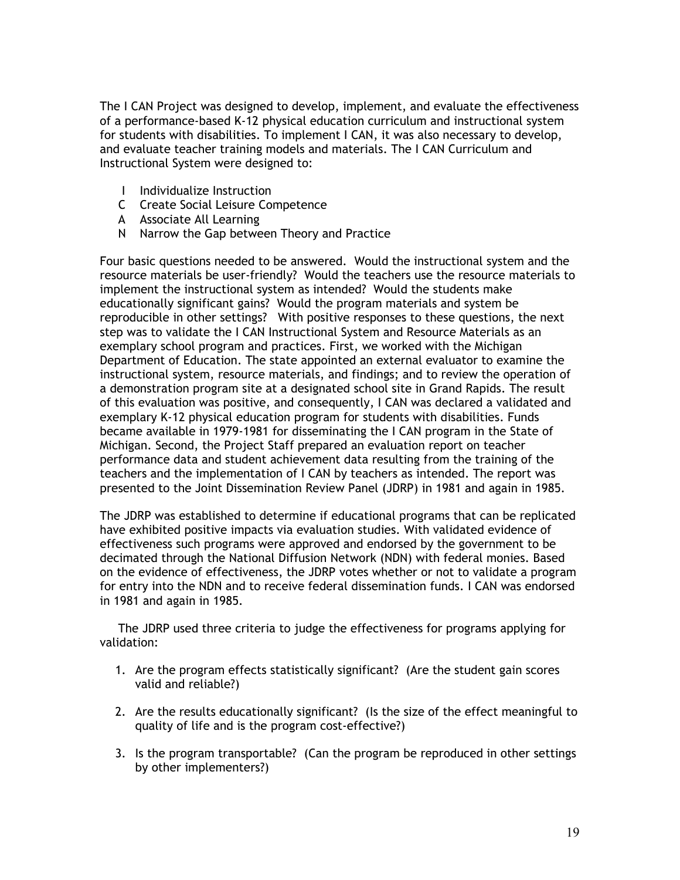The I CAN Project was designed to develop, implement, and evaluate the effectiveness of a performance-based K-12 physical education curriculum and instructional system for students with disabilities. To implement I CAN, it was also necessary to develop, and evaluate teacher training models and materials. The I CAN Curriculum and Instructional System were designed to:

- I Individualize Instruction
- C Create Social Leisure Competence
- A Associate All Learning
- N Narrow the Gap between Theory and Practice

Four basic questions needed to be answered. Would the instructional system and the resource materials be user-friendly? Would the teachers use the resource materials to implement the instructional system as intended? Would the students make educationally significant gains? Would the program materials and system be reproducible in other settings? With positive responses to these questions, the next step was to validate the I CAN Instructional System and Resource Materials as an exemplary school program and practices. First, we worked with the Michigan Department of Education. The state appointed an external evaluator to examine the instructional system, resource materials, and findings; and to review the operation of a demonstration program site at a designated school site in Grand Rapids. The result of this evaluation was positive, and consequently, I CAN was declared a validated and exemplary K-12 physical education program for students with disabilities. Funds became available in 1979-1981 for disseminating the I CAN program in the State of Michigan. Second, the Project Staff prepared an evaluation report on teacher performance data and student achievement data resulting from the training of the teachers and the implementation of I CAN by teachers as intended. The report was presented to the Joint Dissemination Review Panel (JDRP) in 1981 and again in 1985.

The JDRP was established to determine if educational programs that can be replicated have exhibited positive impacts via evaluation studies. With validated evidence of effectiveness such programs were approved and endorsed by the government to be decimated through the National Diffusion Network (NDN) with federal monies. Based on the evidence of effectiveness, the JDRP votes whether or not to validate a program for entry into the NDN and to receive federal dissemination funds. I CAN was endorsed in 1981 and again in 1985.

 The JDRP used three criteria to judge the effectiveness for programs applying for validation:

- 1. Are the program effects statistically significant? (Are the student gain scores valid and reliable?)
- 2. Are the results educationally significant? (Is the size of the effect meaningful to quality of life and is the program cost-effective?)
- 3. Is the program transportable? (Can the program be reproduced in other settings by other implementers?)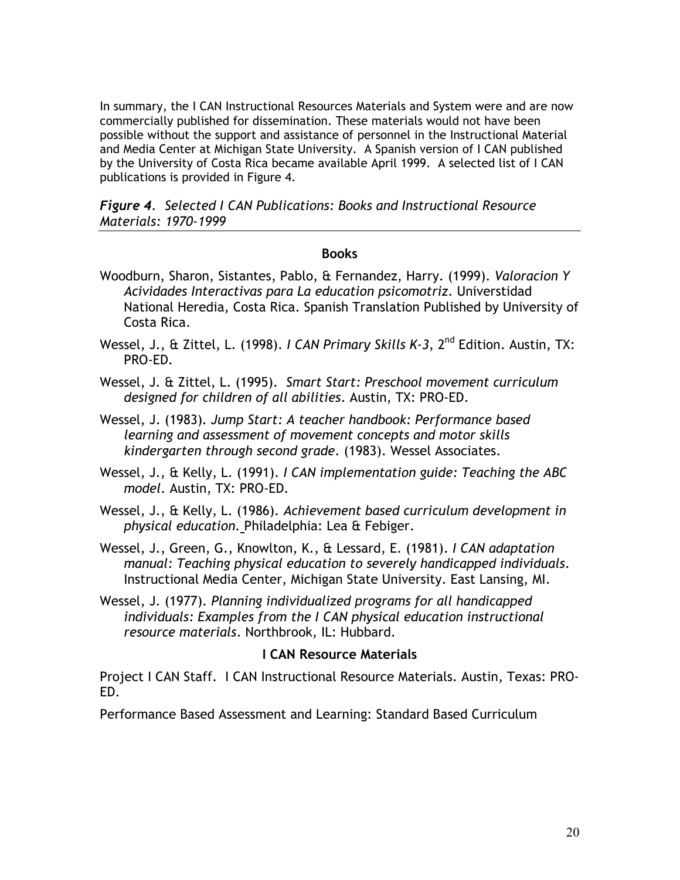In summary, the I CAN Instructional Resources Materials and System were and are now commercially published for dissemination. These materials would not have been possible without the support and assistance of personnel in the Instructional Material and Media Center at Michigan State University. A Spanish version of I CAN published by the University of Costa Rica became available April 1999. A selected list of I CAN publications is provided in Figure 4.

*Figure 4. Selected I CAN Publications: Books and Instructional Resource Materials: 1970-1999* 

#### **Books**

- Woodburn, Sharon, Sistantes, Pablo, & Fernandez, Harry. (1999). *Valoracion Y Acividades Interactivas para La education psicomotriz*. Universtidad National Heredia, Costa Rica. Spanish Translation Published by University of Costa Rica.
- Wessel, J., & Zittel, L. (1998). *I CAN Primary Skills K-3*, 2<sup>nd</sup> Edition. Austin, TX: PRO-ED.
- Wessel, J. & Zittel, L. (1995). *Smart Start: Preschool movement curriculum designed for children of all abilities*. Austin, TX: PRO-ED.
- Wessel, J. (1983)*. Jump Start: A teacher handbook: Performance based learning and assessment of movement concepts and motor skills kindergarten through second grade*. (1983). Wessel Associates.
- Wessel, J., & Kelly, L. (1991). *I CAN implementation guide: Teaching the ABC model.* Austin, TX: PRO-ED.
- Wessel, J., & Kelly, L. (1986). *Achievement based curriculum development in physical education.* Philadelphia: Lea & Febiger.
- Wessel, J., Green, G., Knowlton, K., & Lessard, E. (1981). *I CAN adaptation manual: Teaching physical education to severely handicapped individuals*. Instructional Media Center, Michigan State University. East Lansing, MI.
- Wessel, J. (1977). *Planning individualized programs for all handicapped individuals: Examples from the I CAN physical education instructional resource materials*. Northbrook, IL: Hubbard.

#### **I CAN Resource Materials**

Project I CAN Staff. I CAN Instructional Resource Materials. Austin, Texas: PRO-ED.

Performance Based Assessment and Learning: Standard Based Curriculum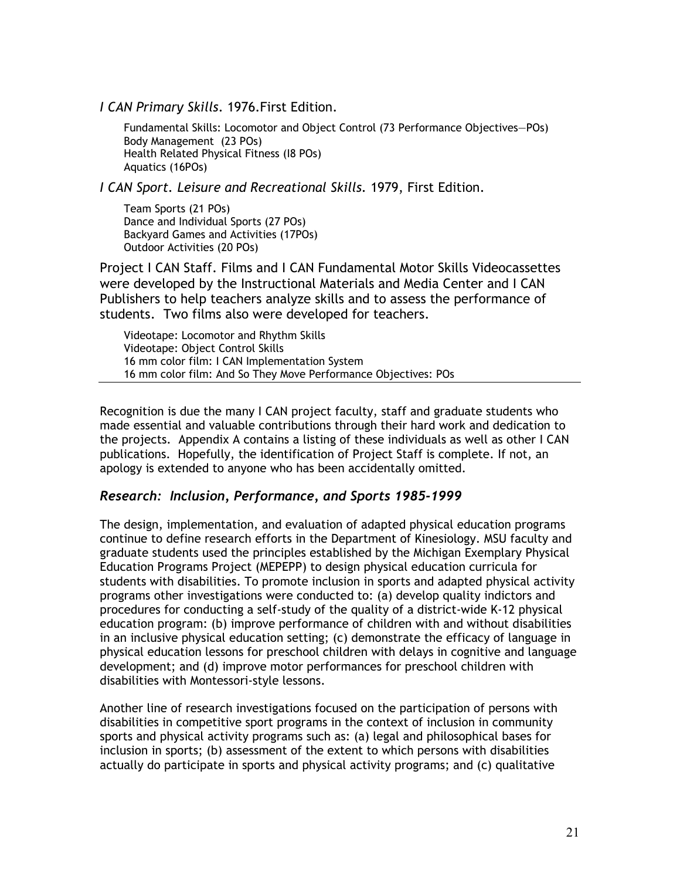*I CAN Primary Skills*. 1976.First Edition.

 Fundamental Skills: Locomotor and Object Control (73 Performance Objectives—POs) Body Management (23 POs) Health Related Physical Fitness (I8 POs) Aquatics (16POs)

*I CAN Sport. Leisure and Recreational Skills.* 1979, First Edition.

 Team Sports (21 POs) Dance and Individual Sports (27 POs) Backyard Games and Activities (17POs) Outdoor Activities (20 POs)

Project I CAN Staff. Films and I CAN Fundamental Motor Skills Videocassettes were developed by the Instructional Materials and Media Center and I CAN Publishers to help teachers analyze skills and to assess the performance of students. Two films also were developed for teachers.

 Videotape: Locomotor and Rhythm Skills Videotape: Object Control Skills 16 mm color film: I CAN Implementation System 16 mm color film: And So They Move Performance Objectives: POs

Recognition is due the many I CAN project faculty, staff and graduate students who made essential and valuable contributions through their hard work and dedication to the projects. Appendix A contains a listing of these individuals as well as other I CAN publications. Hopefully, the identification of Project Staff is complete. If not, an apology is extended to anyone who has been accidentally omitted.

# *Research: Inclusion, Performance, and Sports 1985-1999*

The design, implementation, and evaluation of adapted physical education programs continue to define research efforts in the Department of Kinesiology. MSU faculty and graduate students used the principles established by the Michigan Exemplary Physical Education Programs Project (MEPEPP) to design physical education curricula for students with disabilities. To promote inclusion in sports and adapted physical activity programs other investigations were conducted to: (a) develop quality indictors and procedures for conducting a self-study of the quality of a district-wide K-12 physical education program: (b) improve performance of children with and without disabilities in an inclusive physical education setting; (c) demonstrate the efficacy of language in physical education lessons for preschool children with delays in cognitive and language development; and (d) improve motor performances for preschool children with disabilities with Montessori-style lessons.

Another line of research investigations focused on the participation of persons with disabilities in competitive sport programs in the context of inclusion in community sports and physical activity programs such as: (a) legal and philosophical bases for inclusion in sports; (b) assessment of the extent to which persons with disabilities actually do participate in sports and physical activity programs; and (c) qualitative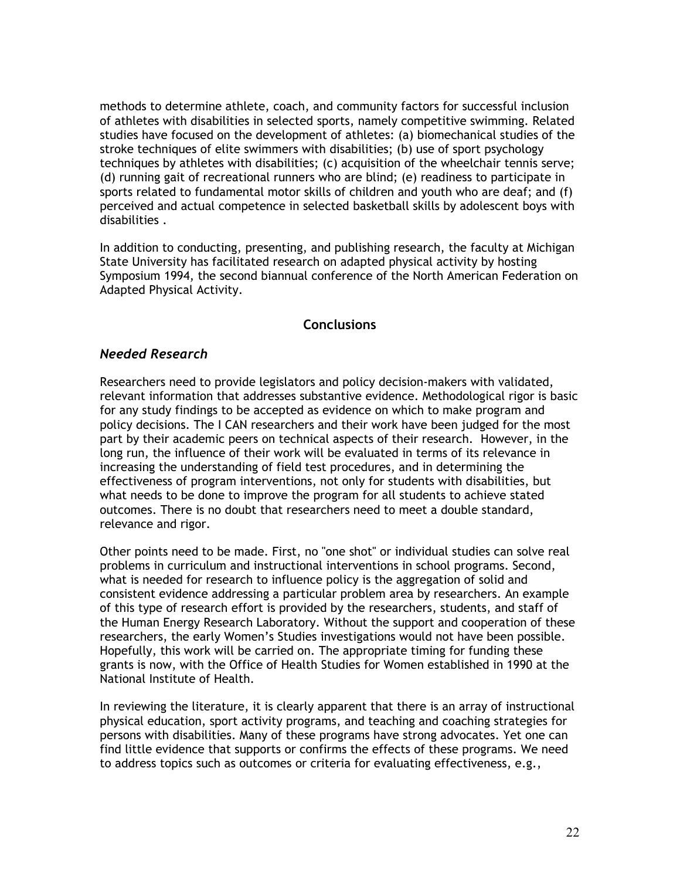methods to determine athlete, coach, and community factors for successful inclusion of athletes with disabilities in selected sports, namely competitive swimming. Related studies have focused on the development of athletes: (a) biomechanical studies of the stroke techniques of elite swimmers with disabilities; (b) use of sport psychology techniques by athletes with disabilities; (c) acquisition of the wheelchair tennis serve; (d) running gait of recreational runners who are blind; (e) readiness to participate in sports related to fundamental motor skills of children and youth who are deaf; and (f) perceived and actual competence in selected basketball skills by adolescent boys with disabilities .

In addition to conducting, presenting, and publishing research, the faculty at Michigan State University has facilitated research on adapted physical activity by hosting Symposium 1994, the second biannual conference of the North American Federation on Adapted Physical Activity.

#### **Conclusions**

#### *Needed Research*

Researchers need to provide legislators and policy decision-makers with validated, relevant information that addresses substantive evidence. Methodological rigor is basic for any study findings to be accepted as evidence on which to make program and policy decisions. The I CAN researchers and their work have been judged for the most part by their academic peers on technical aspects of their research. However, in the long run, the influence of their work will be evaluated in terms of its relevance in increasing the understanding of field test procedures, and in determining the effectiveness of program interventions, not only for students with disabilities, but what needs to be done to improve the program for all students to achieve stated outcomes. There is no doubt that researchers need to meet a double standard, relevance and rigor.

Other points need to be made. First, no "one shot" or individual studies can solve real problems in curriculum and instructional interventions in school programs. Second, what is needed for research to influence policy is the aggregation of solid and consistent evidence addressing a particular problem area by researchers. An example of this type of research effort is provided by the researchers, students, and staff of the Human Energy Research Laboratory. Without the support and cooperation of these researchers, the early Women's Studies investigations would not have been possible. Hopefully, this work will be carried on. The appropriate timing for funding these grants is now, with the Office of Health Studies for Women established in 1990 at the National Institute of Health.

In reviewing the literature, it is clearly apparent that there is an array of instructional physical education, sport activity programs, and teaching and coaching strategies for persons with disabilities. Many of these programs have strong advocates. Yet one can find little evidence that supports or confirms the effects of these programs. We need to address topics such as outcomes or criteria for evaluating effectiveness, e.g.,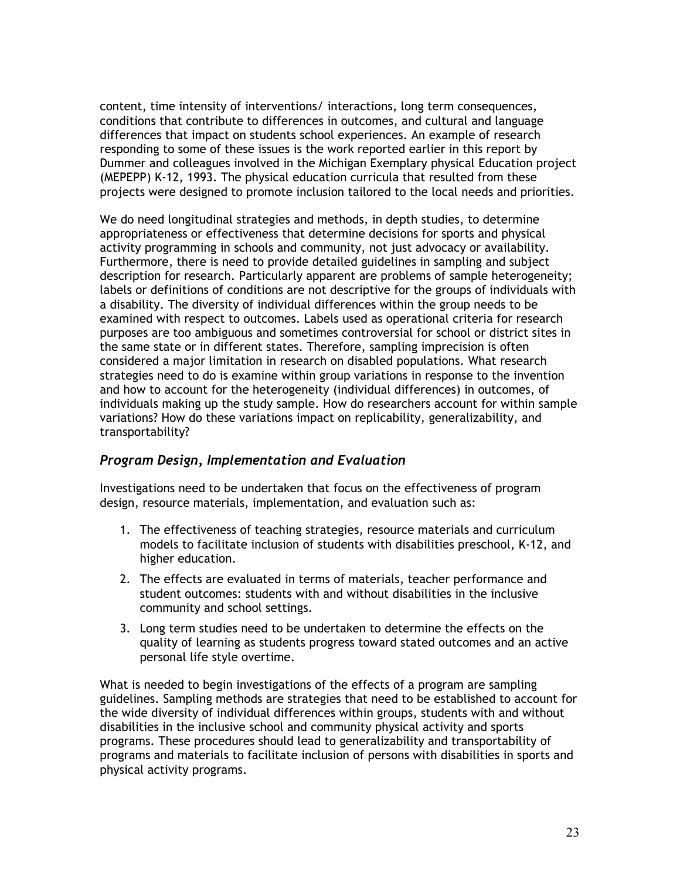content, time intensity of interventions/ interactions, long term consequences, conditions that contribute to differences in outcomes, and cultural and language differences that impact on students school experiences. An example of research responding to some of these issues is the work reported earlier in this report by Dummer and colleagues involved in the Michigan Exemplary physical Education project (MEPEPP) K-12, 1993. The physical education curricula that resulted from these projects were designed to promote inclusion tailored to the local needs and priorities.

We do need longitudinal strategies and methods, in depth studies, to determine appropriateness or effectiveness that determine decisions for sports and physical activity programming in schools and community, not just advocacy or availability. Furthermore, there is need to provide detailed guidelines in sampling and subject description for research. Particularly apparent are problems of sample heterogeneity; labels or definitions of conditions are not descriptive for the groups of individuals with a disability. The diversity of individual differences within the group needs to be examined with respect to outcomes. Labels used as operational criteria for research purposes are too ambiguous and sometimes controversial for school or district sites in the same state or in different states. Therefore, sampling imprecision is often considered a major limitation in research on disabled populations. What research strategies need to do is examine within group variations in response to the invention and how to account for the heterogeneity (individual differences) in outcomes, of individuals making up the study sample. How do researchers account for within sample variations? How do these variations impact on replicability, generalizability, and transportability?

# *Program Design, Implementation and Evaluation*

Investigations need to be undertaken that focus on the effectiveness of program design, resource materials, implementation, and evaluation such as:

- 1. The effectiveness of teaching strategies, resource materials and curriculum models to facilitate inclusion of students with disabilities preschool, K-12, and higher education.
- 2. The effects are evaluated in terms of materials, teacher performance and student outcomes: students with and without disabilities in the inclusive community and school settings.
- 3. Long term studies need to be undertaken to determine the effects on the quality of learning as students progress toward stated outcomes and an active personal life style overtime.

What is needed to begin investigations of the effects of a program are sampling guidelines. Sampling methods are strategies that need to be established to account for the wide diversity of individual differences within groups, students with and without disabilities in the inclusive school and community physical activity and sports programs. These procedures should lead to generalizability and transportability of programs and materials to facilitate inclusion of persons with disabilities in sports and physical activity programs.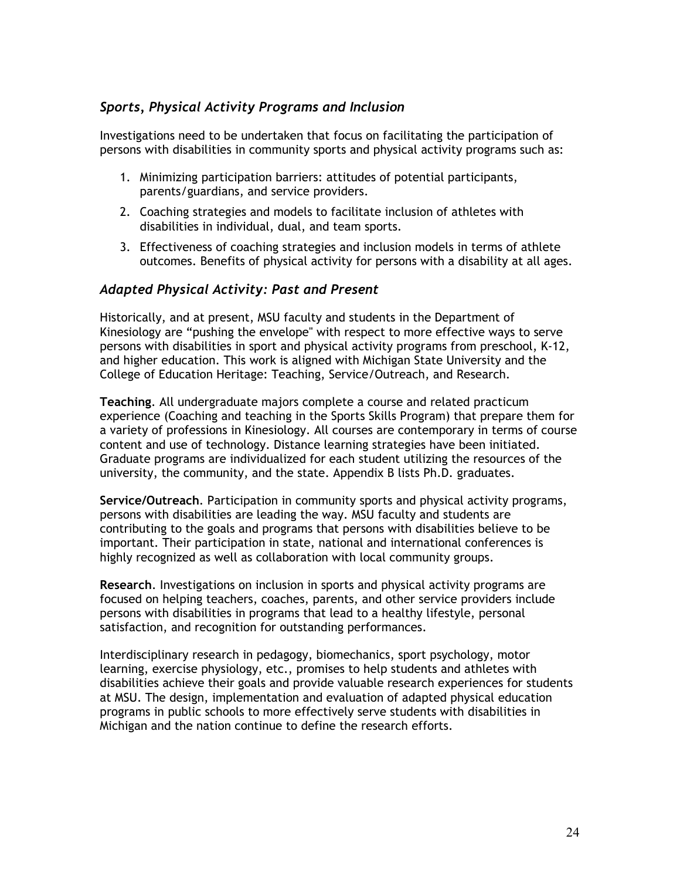# *Sports, Physical Activity Programs and Inclusion*

Investigations need to be undertaken that focus on facilitating the participation of persons with disabilities in community sports and physical activity programs such as:

- 1. Minimizing participation barriers: attitudes of potential participants, parents/guardians, and service providers.
- 2. Coaching strategies and models to facilitate inclusion of athletes with disabilities in individual, dual, and team sports.
- 3. Effectiveness of coaching strategies and inclusion models in terms of athlete outcomes. Benefits of physical activity for persons with a disability at all ages.

# *Adapted Physical Activity: Past and Present*

Historically, and at present, MSU faculty and students in the Department of Kinesiology are "pushing the envelope" with respect to more effective ways to serve persons with disabilities in sport and physical activity programs from preschool, K-12, and higher education. This work is aligned with Michigan State University and the College of Education Heritage: Teaching, Service/Outreach, and Research.

**Teaching**. All undergraduate majors complete a course and related practicum experience (Coaching and teaching in the Sports Skills Program) that prepare them for a variety of professions in Kinesiology. All courses are contemporary in terms of course content and use of technology. Distance learning strategies have been initiated. Graduate programs are individualized for each student utilizing the resources of the university, the community, and the state. Appendix B lists Ph.D. graduates.

**Service/Outreach**. Participation in community sports and physical activity programs, persons with disabilities are leading the way. MSU faculty and students are contributing to the goals and programs that persons with disabilities believe to be important. Their participation in state, national and international conferences is highly recognized as well as collaboration with local community groups.

**Research**. Investigations on inclusion in sports and physical activity programs are focused on helping teachers, coaches, parents, and other service providers include persons with disabilities in programs that lead to a healthy lifestyle, personal satisfaction, and recognition for outstanding performances.

Interdisciplinary research in pedagogy, biomechanics, sport psychology, motor learning, exercise physiology, etc., promises to help students and athletes with disabilities achieve their goals and provide valuable research experiences for students at MSU. The design, implementation and evaluation of adapted physical education programs in public schools to more effectively serve students with disabilities in Michigan and the nation continue to define the research efforts.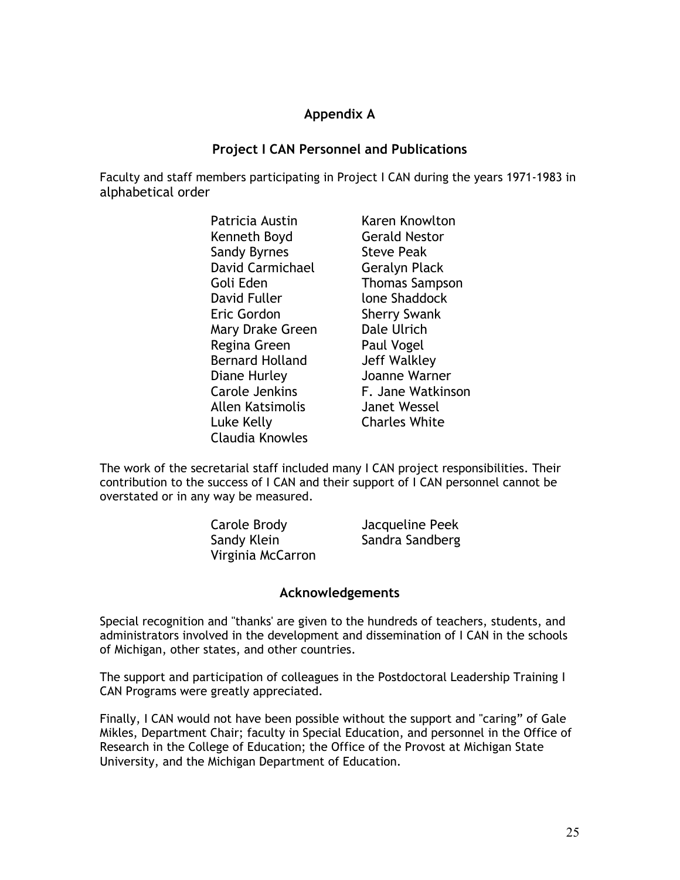# **Appendix A**

### **Project I CAN Personnel and Publications**

Faculty and staff members participating in Project I CAN during the years 1971-1983 in alphabetical order

- Patricia Austin Karen Knowlton Kenneth Boyd Gerald Nestor Sandy Byrnes Steve Peak David Carmichael Geralyn Plack Goli Eden Thomas Sampson David Fuller **lone Shaddock** Eric Gordon Sherry Swank Mary Drake Green Dale Ulrich Regina Green Paul Vogel Bernard Holland Jeff Walkley Diane Hurley **Joanne Warner** Carole Jenkins F. Jane Watkinson Allen Katsimolis Janet Wessel Luke Kelly Charles White Claudia Knowles
- 

The work of the secretarial staff included many I CAN project responsibilities. Their contribution to the success of I CAN and their support of I CAN personnel cannot be overstated or in any way be measured.

| Carole Brody      | Jacqueline Peek |
|-------------------|-----------------|
| Sandy Klein       | Sandra Sandberg |
| Virginia McCarron |                 |

#### **Acknowledgements**

Special recognition and "thanks' are given to the hundreds of teachers, students, and administrators involved in the development and dissemination of I CAN in the schools of Michigan, other states, and other countries.

The support and participation of colleagues in the Postdoctoral Leadership Training I CAN Programs were greatly appreciated.

Finally, I CAN would not have been possible without the support and "caring" of Gale Mikles, Department Chair; faculty in Special Education, and personnel in the Office of Research in the College of Education; the Office of the Provost at Michigan State University, and the Michigan Department of Education.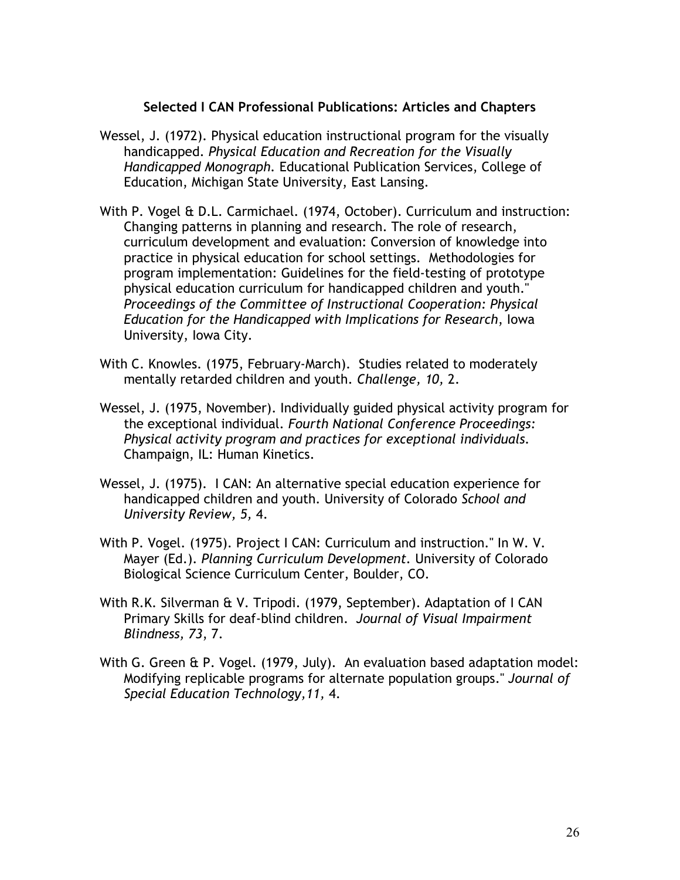# **Selected I CAN Professional Publications: Articles and Chapters**

- Wessel, J. (1972). Physical education instructional program for the visually handicapped. *Physical Education and Recreation for the Visually Handicapped Monograph.* Educational Publication Services, College of Education, Michigan State University, East Lansing.
- With P. Vogel & D.L. Carmichael. (1974, October). Curriculum and instruction: Changing patterns in planning and research. The role of research, curriculum development and evaluation: Conversion of knowledge into practice in physical education for school settings. Methodologies for program implementation: Guidelines for the field-testing of prototype physical education curriculum for handicapped children and youth." *Proceedings of the Committee of Instructional Cooperation: Physical Education for the Handicapped with Implications for Research*, Iowa University, Iowa City.
- With C. Knowles. (1975, February-March). Studies related to moderately mentally retarded children and youth. *Challenge, 10,* 2.
- Wessel, J. (1975, November). Individually guided physical activity program for the exceptional individual. *Fourth National Conference Proceedings: Physical activity program and practices for exceptional individuals.* Champaign, IL: Human Kinetics.
- Wessel, J. (1975). I CAN: An alternative special education experience for handicapped children and youth. University of Colorado *School and University Review, 5,* 4.
- With P. Vogel. (1975). Project I CAN: Curriculum and instruction." In W. V. Mayer (Ed.). *Planning Curriculum Development.* University of Colorado Biological Science Curriculum Center, Boulder, CO.
- With R.K. Silverman & V. Tripodi. (1979, September). Adaptation of I CAN Primary Skills for deaf-blind children. *Journal of Visual Impairment Blindness, 73*, 7.
- With G. Green & P. Vogel. (1979, July). An evaluation based adaptation model: Modifying replicable programs for alternate population groups." *Journal of Special Education Technology,11,* 4.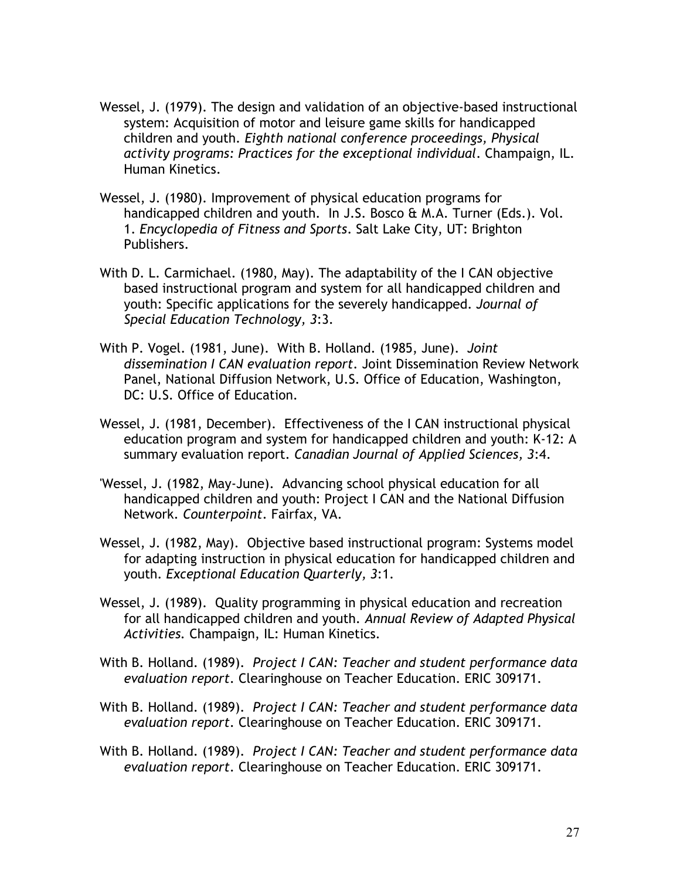- Wessel, J. (1979). The design and validation of an objective-based instructional system: Acquisition of motor and leisure game skills for handicapped children and youth. *Eighth national conference proceedings, Physical activity programs: Practices for the exceptional individual*. Champaign, IL. Human Kinetics.
- Wessel, J. (1980). Improvement of physical education programs for handicapped children and youth. In J.S. Bosco & M.A. Turner (Eds.). Vol. 1. *Encyclopedia of Fitness and Sports*. Salt Lake City, UT: Brighton Publishers.
- With D. L. Carmichael. (1980, May). The adaptability of the I CAN objective based instructional program and system for all handicapped children and youth: Specific applications for the severely handicapped. *Journal of Special Education Technology, 3*:3.
- With P. Vogel. (1981, June). With B. Holland. (1985, June). *Joint dissemination I CAN evaluation report*. Joint Dissemination Review Network Panel, National Diffusion Network, U.S. Office of Education, Washington, DC: U.S. Office of Education.
- Wessel, J. (1981, December). Effectiveness of the I CAN instructional physical education program and system for handicapped children and youth: K-12: A summary evaluation report. *Canadian Journal of Applied Sciences, 3*:4.
- 'Wessel, J. (1982, May-June). Advancing school physical education for all handicapped children and youth: Project I CAN and the National Diffusion Network. *Counterpoint*. Fairfax, VA.
- Wessel, J. (1982, May). Objective based instructional program: Systems model for adapting instruction in physical education for handicapped children and youth. *Exceptional Education Quarterly, 3*:1.
- Wessel, J. (1989). Quality programming in physical education and recreation for all handicapped children and youth. *Annual Review of Adapted Physical Activities.* Champaign, IL: Human Kinetics.
- With B. Holland. (1989). *Project I CAN: Teacher and student performance data evaluation report*. Clearinghouse on Teacher Education. ERIC 309171.
- With B. Holland. (1989). *Project I CAN: Teacher and student performance data evaluation report*. Clearinghouse on Teacher Education. ERIC 309171.
- With B. Holland. (1989). *Project I CAN: Teacher and student performance data evaluation report*. Clearinghouse on Teacher Education. ERIC 309171.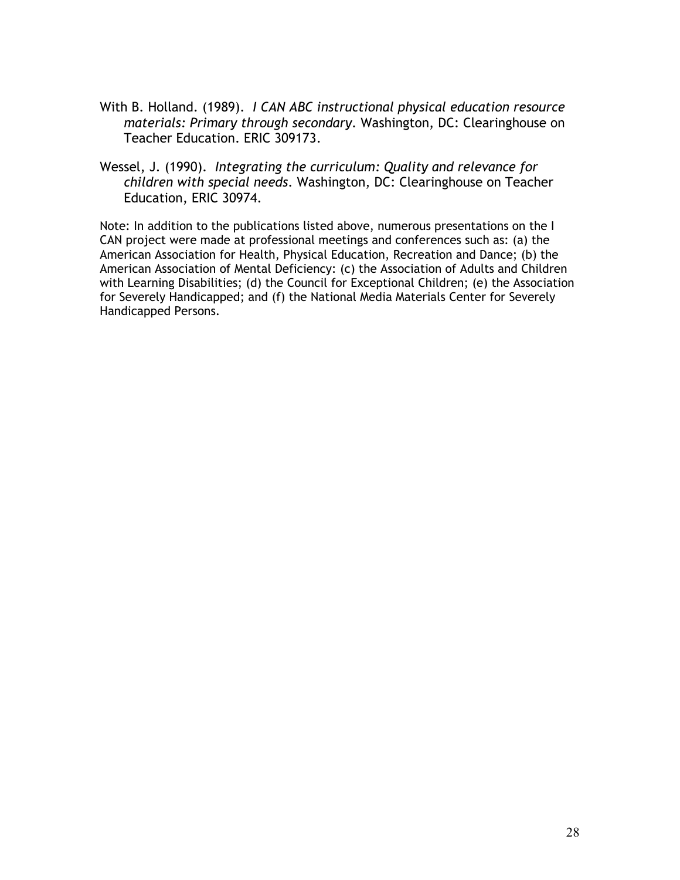- With B. Holland. (1989). *I CAN ABC instructional physical education resource materials: Primary through secondary*. Washington, DC: Clearinghouse on Teacher Education. ERIC 309173.
- Wessel, J. (1990). *Integrating the curriculum: Quality and relevance for children with special needs*. Washington, DC: Clearinghouse on Teacher Education, ERIC 30974.

Note: In addition to the publications listed above, numerous presentations on the I CAN project were made at professional meetings and conferences such as: (a) the American Association for Health, Physical Education, Recreation and Dance; (b) the American Association of Mental Deficiency: (c) the Association of Adults and Children with Learning Disabilities; (d) the Council for Exceptional Children; (e) the Association for Severely Handicapped; and (f) the National Media Materials Center for Severely Handicapped Persons.